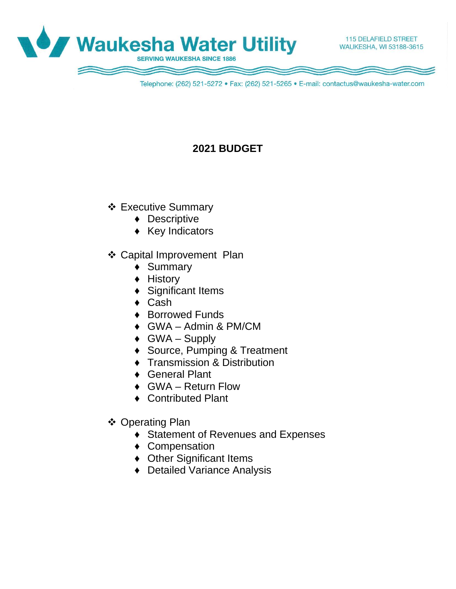

Telephone: (262) 521-5272 · Fax: (262) 521-5265 · E-mail: contactus@waukesha-water.com

### **2021 BUDGET**

- Executive Summary
	- ♦ Descriptive
	- ♦ Key Indicators
- Capital Improvement Plan
	- ♦ Summary
	- ♦ History
	- Significant Items
	- ◆ Cash
	- ♦ Borrowed Funds
	- ♦ GWA Admin & PM/CM
	- $\triangleleft$  GWA Supply
	- ♦ Source, Pumping & Treatment
	- ♦ Transmission & Distribution
	- ♦ General Plant
	- ♦ GWA Return Flow
	- ♦ Contributed Plant
- **❖ Operating Plan** 
	- ♦ Statement of Revenues and Expenses
	- ♦ Compensation
	- ♦ Other Significant Items
	- ♦ Detailed Variance Analysis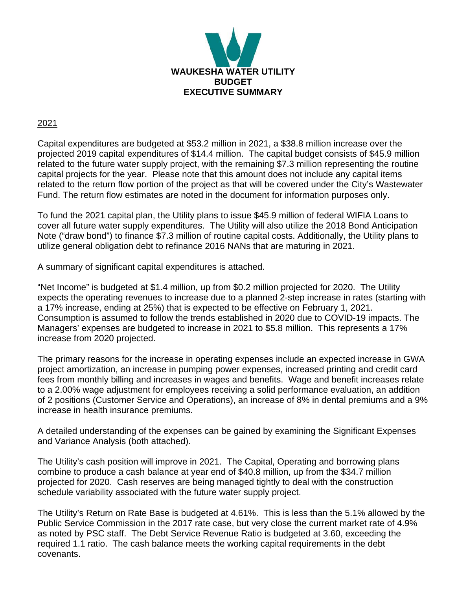

### 2021

Capital expenditures are budgeted at \$53.2 million in 2021, a \$38.8 million increase over the projected 2019 capital expenditures of \$14.4 million. The capital budget consists of \$45.9 million related to the future water supply project, with the remaining \$7.3 million representing the routine capital projects for the year. Please note that this amount does not include any capital items related to the return flow portion of the project as that will be covered under the City's Wastewater Fund. The return flow estimates are noted in the document for information purposes only.

To fund the 2021 capital plan, the Utility plans to issue \$45.9 million of federal WIFIA Loans to cover all future water supply expenditures. The Utility will also utilize the 2018 Bond Anticipation Note ("draw bond") to finance \$7.3 million of routine capital costs. Additionally, the Utility plans to utilize general obligation debt to refinance 2016 NANs that are maturing in 2021.

A summary of significant capital expenditures is attached.

"Net Income" is budgeted at \$1.4 million, up from \$0.2 million projected for 2020. The Utility expects the operating revenues to increase due to a planned 2-step increase in rates (starting with a 17% increase, ending at 25%) that is expected to be effective on February 1, 2021. Consumption is assumed to follow the trends established in 2020 due to COVID-19 impacts. The Managers' expenses are budgeted to increase in 2021 to \$5.8 million. This represents a 17% increase from 2020 projected.

The primary reasons for the increase in operating expenses include an expected increase in GWA project amortization, an increase in pumping power expenses, increased printing and credit card fees from monthly billing and increases in wages and benefits. Wage and benefit increases relate to a 2.00% wage adjustment for employees receiving a solid performance evaluation, an addition of 2 positions (Customer Service and Operations), an increase of 8% in dental premiums and a 9% increase in health insurance premiums.

A detailed understanding of the expenses can be gained by examining the Significant Expenses and Variance Analysis (both attached).

The Utility's cash position will improve in 2021. The Capital, Operating and borrowing plans combine to produce a cash balance at year end of \$40.8 million, up from the \$34.7 million projected for 2020. Cash reserves are being managed tightly to deal with the construction schedule variability associated with the future water supply project.

The Utility's Return on Rate Base is budgeted at 4.61%. This is less than the 5.1% allowed by the Public Service Commission in the 2017 rate case, but very close the current market rate of 4.9% as noted by PSC staff. The Debt Service Revenue Ratio is budgeted at 3.60, exceeding the required 1.1 ratio. The cash balance meets the working capital requirements in the debt covenants.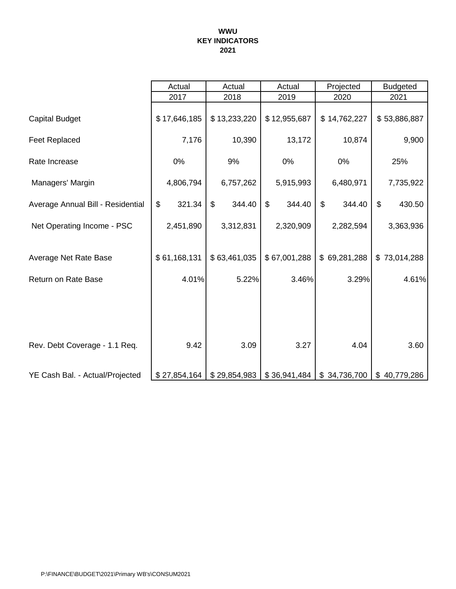#### **WWU KEY INDICATORS 2021**

|                                   | Actual       | Actual                 | Actual                   | Projected                | <b>Budgeted</b>          |
|-----------------------------------|--------------|------------------------|--------------------------|--------------------------|--------------------------|
|                                   | 2017         | 2018                   | 2019                     | 2020                     | 2021                     |
| <b>Capital Budget</b>             | \$17,646,185 | \$13,233,220           | \$12,955,687             | \$14,762,227             | \$53,886,887             |
| <b>Feet Replaced</b>              | 7,176        | 10,390                 | 13,172                   | 10,874                   | 9,900                    |
| Rate Increase                     | $0\%$        | 9%                     | 0%                       | $0\%$                    | 25%                      |
| Managers' Margin                  | 4,806,794    | 6,757,262              | 5,915,993                | 6,480,971                | 7,735,922                |
| Average Annual Bill - Residential | \$<br>321.34 | $\mathbb{S}$<br>344.40 | $\mathfrak{S}$<br>344.40 | $\mathfrak{L}$<br>344.40 | $\mathfrak{S}$<br>430.50 |
| Net Operating Income - PSC        | 2,451,890    | 3,312,831              | 2,320,909                | 2,282,594                | 3,363,936                |
| Average Net Rate Base             | \$61,168,131 | \$63,461,035           | \$67,001,288             | \$69,281,288             | \$73,014,288             |
| <b>Return on Rate Base</b>        | 4.01%        | 5.22%                  | 3.46%                    | 3.29%                    | 4.61%                    |
|                                   |              |                        |                          |                          |                          |
|                                   |              |                        |                          |                          |                          |
| Rev. Debt Coverage - 1.1 Req.     | 9.42         | 3.09                   | 3.27                     | 4.04                     | 3.60                     |
| YE Cash Bal. - Actual/Projected   | \$27,854,164 | \$29,854,983           | \$36,941,484             | \$34,736,700             | \$40,779,286             |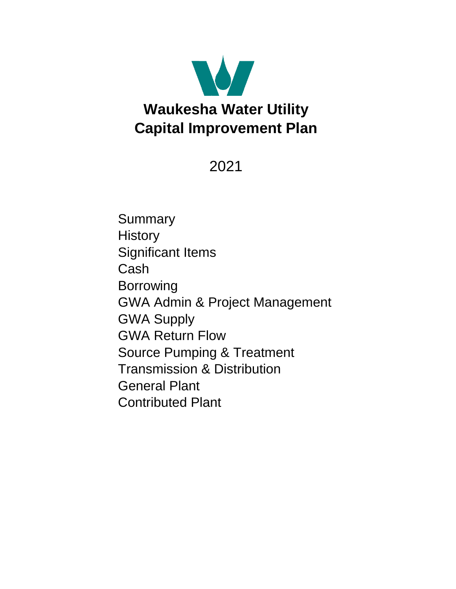

2021

Summary **History** Significant Items Cash Borrowing GWA Admin & Project Management GWA Supply GWA Return Flow Source Pumping & Treatment Transmission & Distribution General Plant Contributed Plant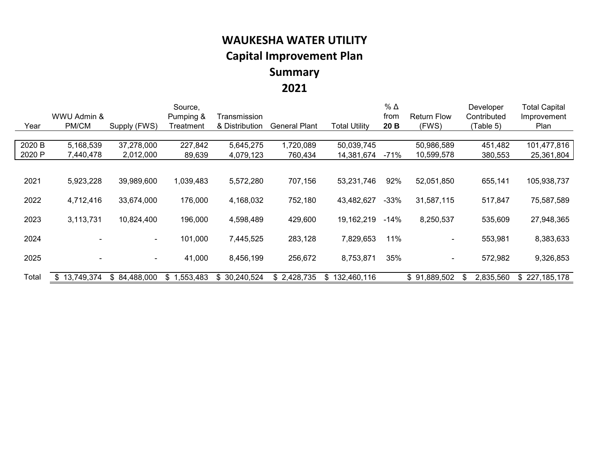# **WAUKESHA WATER UTILITY Capital Improvement Plan Summary 2021**

| Year             | WWU Admin &<br>PM/CM   | Supply (FWS)            | Source,<br>Pumping &<br>Treatment | Transmission<br>& Distribution | <b>General Plant</b> | <b>Total Utility</b>     | % Δ<br>from<br>20 B | <b>Return Flow</b><br>(FWS) | Developer<br>Contributed<br>(Table 5) | <b>Total Capital</b><br>Improvement<br>Plan |
|------------------|------------------------|-------------------------|-----------------------------------|--------------------------------|----------------------|--------------------------|---------------------|-----------------------------|---------------------------------------|---------------------------------------------|
|                  |                        |                         |                                   |                                |                      |                          |                     |                             |                                       |                                             |
| 2020 B<br>2020 P | 5,168,539<br>7,440,478 | 37,278,000<br>2,012,000 | 227,842<br>89,639                 | 5,645,275<br>4,079,123         | 1,720,089<br>760,434 | 50,039,745<br>14,381,674 | $-71%$              | 50,986,589<br>10,599,578    | 451,482<br>380,553                    | 101,477,816<br>25,361,804                   |
|                  |                        |                         |                                   |                                |                      |                          |                     |                             |                                       |                                             |
| 2021             | 5,923,228              | 39,989,600              | 1,039,483                         | 5,572,280                      | 707,156              | 53,231,746               | 92%                 | 52,051,850                  | 655,141                               | 105,938,737                                 |
| 2022             | 4,712,416              | 33,674,000              | 176,000                           | 4,168,032                      | 752,180              | 43,482,627               | $-33%$              | 31,587,115                  | 517,847                               | 75,587,589                                  |
| 2023             | 3,113,731              | 10,824,400              | 196,000                           | 4,598,489                      | 429,600              | 19,162,219               | -14%                | 8,250,537                   | 535,609                               | 27,948,365                                  |
| 2024             |                        | $\blacksquare$          | 101,000                           | 7,445,525                      | 283,128              | 7,829,653                | 11%                 | $\overline{\phantom{a}}$    | 553,981                               | 8,383,633                                   |
| 2025             |                        | $\sim$                  | 41,000                            | 8,456,199                      | 256,672              | 8,753,871                | 35%                 | $\overline{\phantom{a}}$    | 572,982                               | 9,326,853                                   |
| Total            | \$<br>13,749,374       | \$84,488,000            | \$<br>1,553,483                   | \$ 30,240,524                  | \$2,428,735          | 132,460,116<br>S.        |                     | \$91,889,502                | 2,835,560<br>\$.                      | \$227,185,178                               |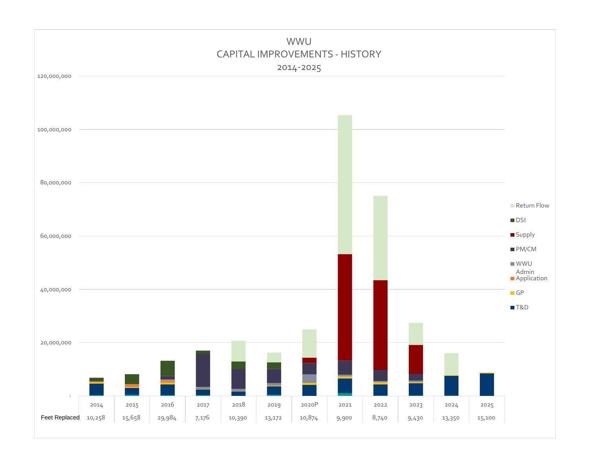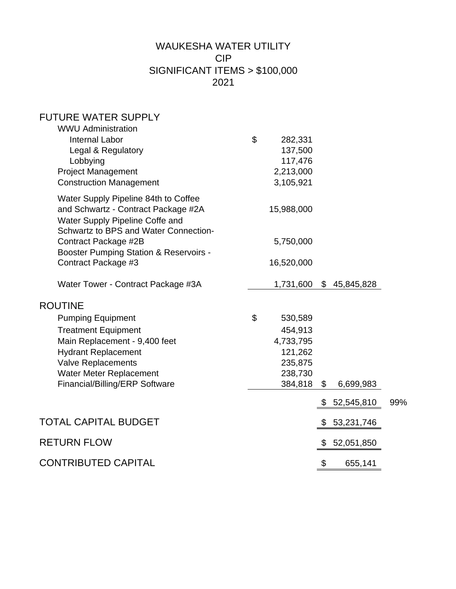### WAUKESHA WATER UTILITY CIP SIGNIFICANT ITEMS > \$100,000 2021

## FUTURE WATER SUPPLY

| <b>WWU Administration</b>                                                                                                                               |                |            |                |                         |     |
|---------------------------------------------------------------------------------------------------------------------------------------------------------|----------------|------------|----------------|-------------------------|-----|
| <b>Internal Labor</b>                                                                                                                                   | $\mathfrak{S}$ | 282,331    |                |                         |     |
| Legal & Regulatory                                                                                                                                      |                | 137,500    |                |                         |     |
| Lobbying                                                                                                                                                |                | 117,476    |                |                         |     |
| <b>Project Management</b>                                                                                                                               |                | 2,213,000  |                |                         |     |
| <b>Construction Management</b>                                                                                                                          |                | 3,105,921  |                |                         |     |
| Water Supply Pipeline 84th to Coffee<br>and Schwartz - Contract Package #2A<br>Water Supply Pipeline Coffe and<br>Schwartz to BPS and Water Connection- |                | 15,988,000 |                |                         |     |
| Contract Package #2B<br><b>Booster Pumping Station &amp; Reservoirs -</b>                                                                               |                | 5,750,000  |                |                         |     |
| Contract Package #3                                                                                                                                     |                | 16,520,000 |                |                         |     |
| Water Tower - Contract Package #3A                                                                                                                      |                |            |                | 1,731,600 \$ 45,845,828 |     |
| <b>ROUTINE</b>                                                                                                                                          |                |            |                |                         |     |
| <b>Pumping Equipment</b>                                                                                                                                | \$             | 530,589    |                |                         |     |
| <b>Treatment Equipment</b>                                                                                                                              |                | 454,913    |                |                         |     |
| Main Replacement - 9,400 feet                                                                                                                           |                | 4,733,795  |                |                         |     |
| <b>Hydrant Replacement</b>                                                                                                                              |                | 121,262    |                |                         |     |
| <b>Valve Replacements</b>                                                                                                                               |                | 235,875    |                |                         |     |
| Water Meter Replacement                                                                                                                                 |                | 238,730    |                |                         |     |
| Financial/Billing/ERP Software                                                                                                                          |                | 384,818    | $\mathfrak{F}$ | 6,699,983               |     |
|                                                                                                                                                         |                |            | \$             | 52,545,810              | 99% |
| <b>TOTAL CAPITAL BUDGET</b>                                                                                                                             |                |            | S              | 53,231,746              |     |
| <b>RETURN FLOW</b>                                                                                                                                      |                |            | \$             | 52,051,850              |     |
| <b>CONTRIBUTED CAPITAL</b>                                                                                                                              |                |            | \$             | 655,141                 |     |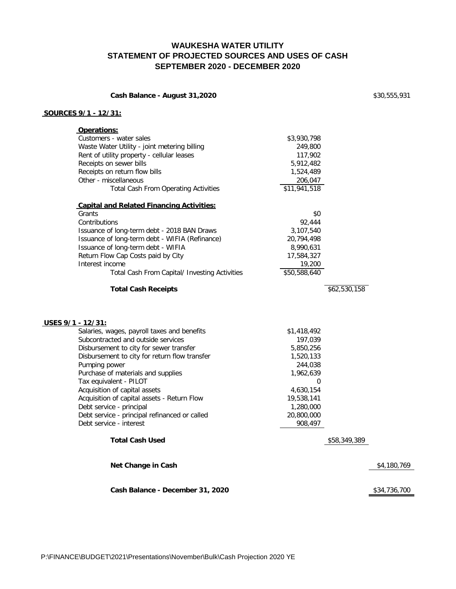#### **WAUKESHA WATER UTILITY STATEMENT OF PROJECTED SOURCES AND USES OF CASH SEPTEMBER 2020 - DECEMBER 2020**

| Cash Balance - August 31,2020                    |              | \$30,555,931 |              |
|--------------------------------------------------|--------------|--------------|--------------|
| <u>SOURCES 9/1 - 12/31:</u>                      |              |              |              |
| Operations:                                      |              |              |              |
| Customers - water sales                          | \$3,930,798  |              |              |
| Waste Water Utility - joint metering billing     | 249,800      |              |              |
| Rent of utility property - cellular leases       | 117,902      |              |              |
| Receipts on sewer bills                          | 5,912,482    |              |              |
| Receipts on return flow bills                    | 1,524,489    |              |              |
| Other - miscellaneous                            | 206,047      |              |              |
| <b>Total Cash From Operating Activities</b>      | \$11,941,518 |              |              |
| <b>Capital and Related Financing Activities:</b> |              |              |              |
| Grants                                           | \$0          |              |              |
| Contributions                                    | 92,444       |              |              |
| Issuance of long-term debt - 2018 BAN Draws      | 3,107,540    |              |              |
| Issuance of long-term debt - WIFIA (Refinance)   | 20,794,498   |              |              |
| Issuance of long-term debt - WIFIA               | 8,990,631    |              |              |
| Return Flow Cap Costs paid by City               | 17,584,327   |              |              |
| Interest income                                  | 19,200       |              |              |
| Total Cash From Capital/ Investing Activities    | \$50,588,640 |              |              |
| <b>Total Cash Receipts</b>                       |              | \$62,530,158 |              |
| <u> USES 9/1 - 12/31:</u>                        |              |              |              |
| Salaries, wages, payroll taxes and benefits      | \$1,418,492  |              |              |
| Subcontracted and outside services               | 197,039      |              |              |
| Disbursement to city for sewer transfer          | 5,850,256    |              |              |
| Disbursement to city for return flow transfer    | 1,520,133    |              |              |
| Pumping power                                    | 244,038      |              |              |
| Purchase of materials and supplies               | 1,962,639    |              |              |
| Tax equivalent - PILOT                           | 0            |              |              |
| Acquisition of capital assets                    | 4,630,154    |              |              |
| Acquisition of capital assets - Return Flow      | 19,538,141   |              |              |
| Debt service - principal                         | 1,280,000    |              |              |
| Debt service - principal refinanced or called    | 20,800,000   |              |              |
| Debt service - interest                          | 908,497      |              |              |
| <b>Total Cash Used</b>                           |              | \$58,349,389 |              |
| Net Change in Cash                               |              |              | \$4,180,769  |
| Cash Balance - December 31, 2020                 |              |              | \$34,736,700 |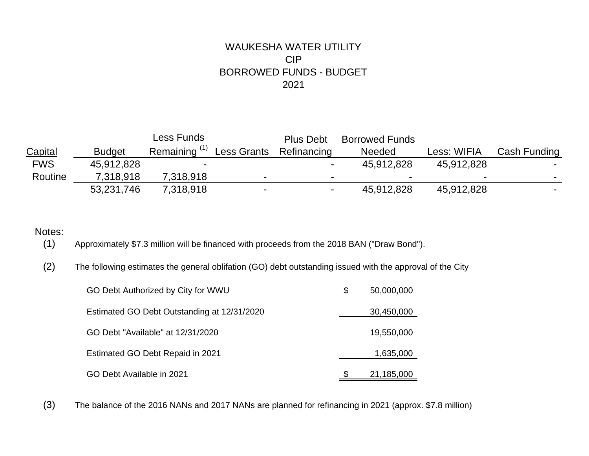### WAUKESHA WATER UTILITY CIPBORROWED FUNDS - BUDGET 2021

|                |               | Less Funds |                          | <b>Plus Debt</b> | <b>Borrowed Funds</b> |             |              |
|----------------|---------------|------------|--------------------------|------------------|-----------------------|-------------|--------------|
| <b>Capital</b> | <b>Budget</b> | Remaining  | Less Grants              | Refinancing      | <b>Needed</b>         | Less: WIFIA | Cash Funding |
| <b>FWS</b>     | 45,912,828    |            |                          |                  | 45,912,828            | 45.912.828  |              |
| Routine        | 7,318,918     | 7,318,918  | -                        | -                |                       | -           |              |
|                | 53,231,746    | 7,318,918  | $\overline{\phantom{a}}$ |                  | 45,912,828            | 45,912,828  |              |

### Notes:

(1) Approximately \$7.3 million will be financed with proceeds from the 2018 BAN ("Draw Bond").

(2) The following estimates the general oblifation (GO) debt outstanding issued with the approval of the City

| GO Debt Authorized by City for WWU          | \$<br>50,000,000 |
|---------------------------------------------|------------------|
| Estimated GO Debt Outstanding at 12/31/2020 | 30,450,000       |
| GO Debt "Available" at 12/31/2020           | 19,550,000       |
| Estimated GO Debt Repaid in 2021            | 1,635,000        |
| GO Debt Available in 2021                   | \$<br>21,185,000 |

(3) The balance of the 2016 NANs and 2017 NANs are planned for refinancing in 2021 (approx. \$7.8 million)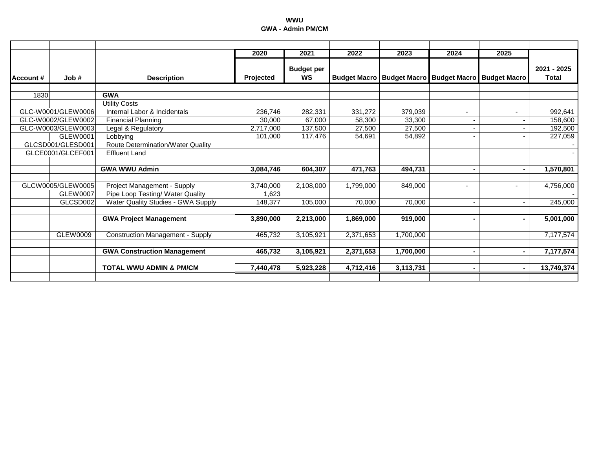#### **WWUGWA - Admin PM/CM**

|                          |                                         | 2020      | 2021                           | 2022                | 2023                | 2024           | 2025                             |                      |
|--------------------------|-----------------------------------------|-----------|--------------------------------|---------------------|---------------------|----------------|----------------------------------|----------------------|
| <b>Account #</b><br>Job# | <b>Description</b>                      | Projected | <b>Budget per</b><br><b>WS</b> | <b>Budget Macro</b> | <b>Budget Macro</b> |                | <b>Budget Macro Budget Macro</b> | 2021 - 2025<br>Total |
|                          |                                         |           |                                |                     |                     |                |                                  |                      |
| 1830                     | <b>GWA</b>                              |           |                                |                     |                     |                |                                  |                      |
|                          | <b>Utility Costs</b>                    |           |                                |                     |                     |                |                                  |                      |
| GLC-W0001/GLEW0006       | Internal Labor & Incidentals            | 236,746   | 282,331                        | 331,272             | 379,039             | $\blacksquare$ | $\overline{\phantom{0}}$         | 992,641              |
| GLC-W0002/GLEW0002       | <b>Financial Planning</b>               | 30.000    | 67.000                         | 58,300              | 33,300              |                |                                  | 158,600              |
| GLC-W0003/GLEW0003       | Legal & Regulatory                      | 2,717,000 | 137,500                        | 27,500              | 27,500              |                |                                  | 192,500              |
| GLEW0001                 | Lobbying                                | 101,000   | 117,476                        | 54,691              | 54,892              |                |                                  | 227,059              |
| GLCSD001/GLESD001        | Route Determination/Water Quality       |           |                                |                     |                     |                |                                  |                      |
| GLCE0001/GLCEF001        | <b>Effluent Land</b>                    |           |                                |                     |                     |                |                                  |                      |
|                          |                                         |           |                                |                     |                     |                |                                  |                      |
|                          | <b>GWA WWU Admin</b>                    | 3,084,746 | 604,307                        | 471,763             | 494,731             |                |                                  | 1,570,801            |
|                          |                                         |           |                                |                     |                     |                |                                  |                      |
| GLCW0005/GLEW0005        | Project Management - Supply             | 3,740,000 | 2,108,000                      | 1,799,000           | 849,000             |                |                                  | 4,756,000            |
| <b>GLEW0007</b>          | Pipe Loop Testing/ Water Quality        | 1,623     |                                |                     |                     |                |                                  |                      |
| GLCSD002                 | Water Quality Studies - GWA Supply      | 148,377   | 105,000                        | 70,000              | 70,000              |                |                                  | 245,000              |
|                          |                                         |           |                                |                     |                     |                |                                  |                      |
|                          | <b>GWA Project Management</b>           | 3,890,000 | 2,213,000                      | 1,869,000           | 919,000             |                |                                  | 5,001,000            |
|                          |                                         |           |                                |                     |                     |                |                                  |                      |
| GLEW0009                 | <b>Construction Management - Supply</b> | 465,732   | 3,105,921                      | 2,371,653           | 1,700,000           |                |                                  | 7,177,574            |
|                          |                                         |           |                                |                     |                     |                |                                  |                      |
|                          | <b>GWA Construction Management</b>      | 465,732   | 3,105,921                      | 2,371,653           | 1,700,000           |                |                                  | 7,177,574            |
|                          |                                         |           |                                |                     |                     |                |                                  |                      |
|                          | <b>TOTAL WWU ADMIN &amp; PM/CM</b>      | 7,440,478 | 5,923,228                      | 4,712,416           | 3,113,731           |                |                                  | 13,749,374           |
|                          |                                         |           |                                |                     |                     |                |                                  |                      |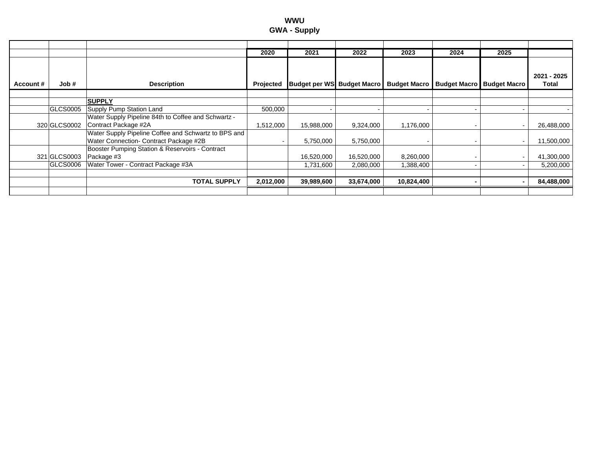#### **WWU GWA - Supply**

|                   |                                                      | 2020      | 2021                              | 2022       | 2023                | 2024                | 2025                |             |
|-------------------|------------------------------------------------------|-----------|-----------------------------------|------------|---------------------|---------------------|---------------------|-------------|
|                   |                                                      |           |                                   |            |                     |                     |                     |             |
|                   |                                                      |           |                                   |            |                     |                     |                     | 2021 - 2025 |
| Job#<br>Account # | <b>Description</b>                                   | Projected | <b>Budget per WS Budget Macro</b> |            | <b>Budget Macro</b> | <b>Budget Macro</b> | <b>Budget Macro</b> | Total       |
|                   |                                                      |           |                                   |            |                     |                     |                     |             |
|                   | <b>SUPPLY</b>                                        |           |                                   |            |                     |                     |                     |             |
| GLCS0005          | Supply Pump Station Land                             | 500,000   |                                   |            |                     |                     |                     |             |
|                   | Water Supply Pipeline 84th to Coffee and Schwartz -  |           |                                   |            |                     |                     |                     |             |
| 320 GLCS0002      | Contract Package #2A                                 | 1,512,000 | 15,988,000                        | 9,324,000  | 1,176,000           |                     |                     | 26,488,000  |
|                   | Water Supply Pipeline Coffee and Schwartz to BPS and |           |                                   |            |                     |                     |                     |             |
|                   | Water Connection- Contract Package #2B               |           | 5,750,000                         | 5,750,000  |                     |                     |                     | 11,500,000  |
|                   | Booster Pumping Station & Reservoirs - Contract      |           |                                   |            |                     |                     |                     |             |
| 321 GLCS0003      | Package #3                                           |           | 16,520,000                        | 16,520,000 | 8,260,000           |                     |                     | 41,300,000  |
| GLCS0006          | Water Tower - Contract Package #3A                   |           | 1,731,600                         | 2,080,000  | 1,388,400           |                     |                     | 5,200,000   |
|                   |                                                      |           |                                   |            |                     |                     |                     |             |
|                   | <b>TOTAL SUPPLY</b>                                  | 2,012,000 | 39,989,600                        | 33,674,000 | 10,824,400          |                     |                     | 84,488,000  |
|                   |                                                      |           |                                   |            |                     |                     |                     |             |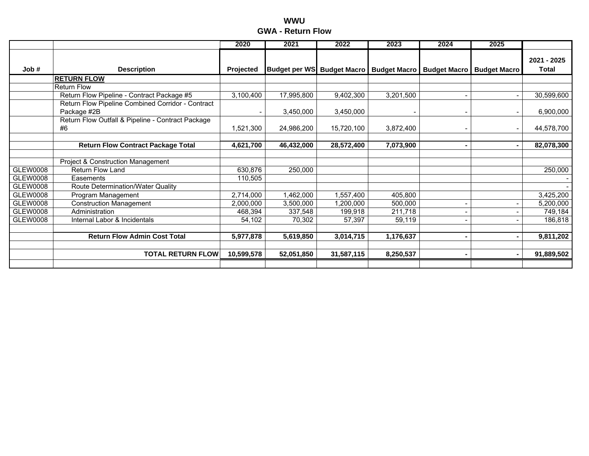#### **WWU GWA - Return Flow**

|                 |                                                   | 2020             | 2021                 | 2022                | 2023                | 2024                | 2025                |                             |
|-----------------|---------------------------------------------------|------------------|----------------------|---------------------|---------------------|---------------------|---------------------|-----------------------------|
| Job#            | <b>Description</b>                                | <b>Projected</b> | <b>Budget per WS</b> | <b>Budget Macro</b> | <b>Budget Macro</b> | <b>Budget Macro</b> | <b>Budget Macro</b> | 2021 - 2025<br><b>Total</b> |
|                 | <b>RETURN FLOW</b>                                |                  |                      |                     |                     |                     |                     |                             |
|                 | <b>Return Flow</b>                                |                  |                      |                     |                     |                     |                     |                             |
|                 | Return Flow Pipeline - Contract Package #5        | 3,100,400        | 17,995,800           | 9,402,300           | 3,201,500           |                     |                     | 30,599,600                  |
|                 | Return Flow Pipeline Combined Corridor - Contract |                  |                      |                     |                     |                     |                     |                             |
|                 | Package #2B                                       |                  | 3,450,000            | 3,450,000           |                     |                     |                     | 6,900,000                   |
|                 | Return Flow Outfall & Pipeline - Contract Package |                  |                      |                     |                     |                     |                     |                             |
|                 | #6                                                | 1,521,300        | 24,986,200           | 15,720,100          | 3,872,400           |                     |                     | 44,578,700                  |
|                 |                                                   |                  |                      |                     |                     |                     |                     |                             |
|                 | <b>Return Flow Contract Package Total</b>         | 4,621,700        | 46,432,000           | 28,572,400          | 7,073,900           |                     | $\blacksquare$      | 82,078,300                  |
|                 |                                                   |                  |                      |                     |                     |                     |                     |                             |
|                 | Project & Construction Management                 |                  |                      |                     |                     |                     |                     |                             |
| <b>GLEW0008</b> | <b>Return Flow Land</b>                           | 630,876          | 250,000              |                     |                     |                     |                     | 250,000                     |
| <b>GLEW0008</b> | Easements                                         | 110,505          |                      |                     |                     |                     |                     |                             |
| <b>GLEW0008</b> | Route Determination/Water Quality                 |                  |                      |                     |                     |                     |                     |                             |
| <b>GLEW0008</b> | Program Management                                | 2,714,000        | 1,462,000            | 1,557,400           | 405,800             |                     |                     | 3,425,200                   |
| <b>GLEW0008</b> | <b>Construction Management</b>                    | 2,000,000        | 3,500,000            | 1,200,000           | 500,000             |                     |                     | 5,200,000                   |
| <b>GLEW0008</b> | Administration                                    | 468,394          | 337,548              | 199,918             | 211,718             |                     |                     | 749,184                     |
| <b>GLEW0008</b> | Internal Labor & Incidentals                      | 54,102           | 70,302               | 57,397              | 59,119              |                     |                     | 186,818                     |
|                 |                                                   |                  |                      |                     |                     |                     |                     |                             |
|                 | <b>Return Flow Admin Cost Total</b>               | 5,977,878        | 5,619,850            | 3,014,715           | 1,176,637           |                     | $\blacksquare$      | 9,811,202                   |
|                 |                                                   |                  |                      |                     |                     |                     |                     |                             |
|                 | <b>TOTAL RETURN FLOW</b>                          | 10,599,578       | 52,051,850           | 31,587,115          | 8,250,537           |                     |                     | 91,889,502                  |
|                 |                                                   |                  |                      |                     |                     |                     |                     |                             |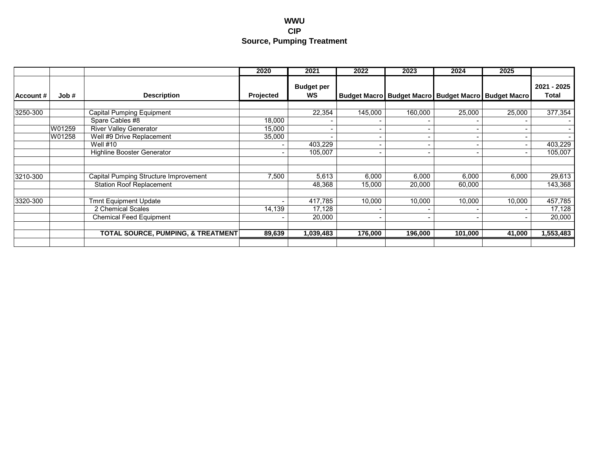#### **WWU CIP Source, Pumping Treatment**

|           |        |                                       | 2020      | 2021                     | 2022    | 2023    | 2024    | 2025                                                      |                      |
|-----------|--------|---------------------------------------|-----------|--------------------------|---------|---------|---------|-----------------------------------------------------------|----------------------|
| Account # | Job #  | <b>Description</b>                    | Projected | <b>Budget per</b><br>WS  |         |         |         | Budget Macro   Budget Macro   Budget Macro   Budget Macro | 2021 - 2025<br>Total |
|           |        |                                       |           |                          |         |         |         |                                                           |                      |
| 3250-300  |        | Capital Pumping Equipment             |           | 22,354                   | 145,000 | 160,000 | 25,000  | 25,000                                                    | 377,354              |
|           |        | Spare Cables #8                       | 18,000    |                          |         |         |         |                                                           |                      |
|           | W01259 | <b>River Valley Generator</b>         | 15,000    | $\overline{\phantom{a}}$ |         |         |         | $\overline{\phantom{0}}$                                  |                      |
|           | W01258 | Well #9 Drive Replacement             | 35,000    |                          |         |         |         |                                                           |                      |
|           |        | Well $#10$                            |           | 403,229                  |         |         |         | $\overline{\phantom{a}}$                                  | 403,229              |
|           |        | <b>Highline Booster Generator</b>     |           | 105,007                  |         |         |         | $\overline{\phantom{0}}$                                  | 105,007              |
|           |        |                                       |           |                          |         |         |         |                                                           |                      |
| 3210-300  |        | Capital Pumping Structure Improvement | 7,500     | 5,613                    | 6,000   | 6,000   | 6,000   | 6,000                                                     | 29,613               |
|           |        | <b>Station Roof Replacement</b>       |           | 48,368                   | 15,000  | 20,000  | 60,000  |                                                           | 143,368              |
| 3320-300  |        | <b>Tmnt Equipment Update</b>          |           | 417,785                  | 10,000  | 10,000  | 10,000  | 10,000                                                    | 457,785              |
|           |        | 2 Chemical Scales                     | 14,139    | 17,128                   |         |         |         |                                                           | 17,128               |
|           |        | <b>Chemical Feed Equipment</b>        |           | 20,000                   |         |         |         | $\overline{\phantom{a}}$                                  | 20,000               |
|           |        | TOTAL SOURCE, PUMPING, & TREATMENT    | 89,639    | 1,039,483                | 176,000 | 196,000 | 101,000 | 41,000                                                    | 1,553,483            |
|           |        |                                       |           |                          |         |         |         |                                                           |                      |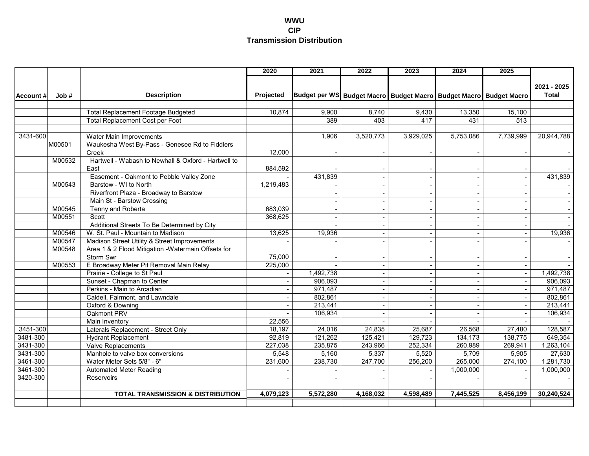#### **WWU CIP Transmission Distribution**

|           |        |                                                         | 2020             | 2021                                                              | 2022      | 2023                     | 2024                     | 2025                     |                             |
|-----------|--------|---------------------------------------------------------|------------------|-------------------------------------------------------------------|-----------|--------------------------|--------------------------|--------------------------|-----------------------------|
| Account # | Job#   | <b>Description</b>                                      | <b>Projected</b> | Budget per WS Budget Macro Budget Macro Budget Macro Budget Macro |           |                          |                          |                          | 2021 - 2025<br><b>Total</b> |
|           |        |                                                         |                  |                                                                   |           |                          |                          |                          |                             |
|           |        | <b>Total Replacement Footage Budgeted</b>               | 10,874           | 9,900                                                             | 8,740     | 9,430                    | 13,350                   | 15,100                   |                             |
|           |        | Total Replacement Cost per Foot                         |                  | 389                                                               | 403       | 417                      | 431                      | 513                      |                             |
|           |        |                                                         |                  |                                                                   |           |                          |                          |                          |                             |
| 3431-600  |        | Water Main Improvements                                 |                  | 1,906                                                             | 3,520,773 | 3,929,025                | 5,753,086                | 7,739,999                | 20,944,788                  |
|           | M00501 | Waukesha West By-Pass - Genesee Rd to Fiddlers<br>Creek | 12,000           |                                                                   |           |                          |                          |                          |                             |
|           | M00532 | Hartwell - Wabash to Newhall & Oxford - Hartwell to     |                  |                                                                   |           |                          |                          |                          |                             |
|           |        | East                                                    | 884,592          |                                                                   |           |                          |                          |                          |                             |
|           |        | Easement - Oakmont to Pebble Valley Zone                |                  | 431,839                                                           |           |                          |                          | $\blacksquare$           | 431,839                     |
|           | M00543 | Barstow - WI to North                                   | 1,219,483        |                                                                   |           |                          |                          | $\sim$                   | $\sim$                      |
|           |        | Riverfront Plaza - Broadway to Barstow                  |                  |                                                                   |           |                          |                          |                          |                             |
|           |        | Main St - Barstow Crossing                              |                  | $\sim$                                                            | $\sim$    | $\sim$                   | $\sim$                   | $\sim$                   | $\sim$                      |
|           | M00545 | Tenny and Roberta                                       | 683,039          |                                                                   |           |                          |                          | $\overline{\phantom{a}}$ |                             |
|           | M00551 | Scott                                                   | 368,625          |                                                                   |           |                          | $\overline{a}$           | $\sim$                   |                             |
|           |        | Additional Streets To Be Determined by City             |                  |                                                                   |           |                          |                          |                          |                             |
|           | M00546 | W. St. Paul - Mountain to Madison                       | 13,625           | 19,936                                                            | $\sim$    | $\sim$                   | $\sim$                   | $\mathbf{r}$             | 19,936                      |
|           | M00547 | Madison Street Utility & Street Improvements            |                  |                                                                   |           |                          |                          | $\blacksquare$           |                             |
|           | M00548 | Area 1 & 2 Flood Mitigation - Watermain Offsets for     |                  |                                                                   |           |                          |                          |                          |                             |
|           |        | Storm Swr                                               | 75,000           |                                                                   |           |                          |                          |                          |                             |
|           | M00553 | E Broadway Meter Pit Removal Main Relay                 | 225,000          |                                                                   |           | $\blacksquare$           | $\sim$                   | $\equiv$                 | $\sim$                      |
|           |        | Prairie - College to St Paul                            |                  | 1,492,738                                                         |           | $\overline{\phantom{a}}$ |                          | $\sim$                   | 1,492,738                   |
|           |        | Sunset - Chapman to Center                              | $\sim$           | 906,093                                                           |           |                          | $\overline{\phantom{a}}$ | $\blacksquare$           | 906,093                     |
|           |        | Perkins - Main to Arcadian                              |                  | 971,487                                                           |           |                          |                          |                          | 971,487                     |
|           |        | Caldell, Fairmont, and Lawndale                         | $\blacksquare$   | 802,861                                                           |           |                          |                          | $\sim$                   | 802,861                     |
|           |        | Oxford & Downing                                        | $\blacksquare$   | 213,441                                                           | $\sim$    | $\overline{\phantom{a}}$ |                          | $\blacksquare$           | 213,441                     |
|           |        | Oakmont PRV                                             |                  | 106.934                                                           |           |                          |                          | $\overline{\phantom{a}}$ | 106,934                     |
|           |        | Main Inventory                                          | 22,556           |                                                                   |           |                          |                          |                          |                             |
| 3451-300  |        | Laterals Replacement - Street Only                      | 18,197           | 24,016                                                            | 24,835    | 25,687                   | 26,568                   | 27,480                   | 128,587                     |
| 3481-300  |        | <b>Hydrant Replacement</b>                              | 92,819           | 121,262                                                           | 125,421   | 129,723                  | 134,173                  | 138,775                  | 649,354                     |
| 3431-300  |        | <b>Valve Replacements</b>                               | 227,038          | 235,875                                                           | 243,966   | 252,334                  | 260,989                  | 269,941                  | 1,263,104                   |
| 3431-300  |        | Manhole to valve box conversions                        | 5,548            | 5,160                                                             | 5,337     | 5,520                    | 5,709                    | 5,905                    | 27,630                      |
| 3461-300  |        | Water Meter Sets 5/8" - 6"                              | 231,600          | 238,730                                                           | 247,700   | 256,200                  | 265,000                  | 274,100                  | 1,281,730                   |
| 3461-300  |        | <b>Automated Meter Reading</b>                          |                  |                                                                   |           |                          | 1,000,000                |                          | 1,000,000                   |
| 3420-300  |        | Reservoirs                                              |                  |                                                                   |           |                          |                          |                          |                             |
|           |        |                                                         |                  |                                                                   |           |                          |                          |                          |                             |
|           |        | <b>TOTAL TRANSMISSION &amp; DISTRIBUTION</b>            | 4,079,123        | 5,572,280                                                         | 4,168,032 | 4,598,489                | 7,445,525                | 8,456,199                | 30,240,524                  |
|           |        |                                                         |                  |                                                                   |           |                          |                          |                          |                             |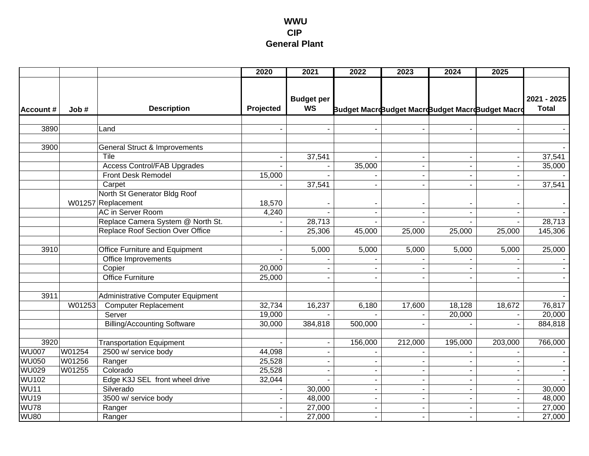### **WWU CIP General Plant**

|                  |        |                                    | 2020      | 2021                           | 2022                                             | 2023           | 2024                     | 2025                     |                             |
|------------------|--------|------------------------------------|-----------|--------------------------------|--------------------------------------------------|----------------|--------------------------|--------------------------|-----------------------------|
| <b>Account #</b> | Job#   | <b>Description</b>                 | Projected | <b>Budget per</b><br><b>WS</b> | Budget MacroBudget MacroBudget MacroBudget Macro |                |                          |                          | 2021 - 2025<br><b>Total</b> |
|                  |        |                                    |           |                                |                                                  |                |                          |                          |                             |
| 3890             |        | Land                               |           |                                | ÷,                                               |                |                          |                          |                             |
| 3900             |        | General Struct & Improvements      |           |                                |                                                  |                |                          |                          |                             |
|                  |        | Tile                               |           | 37,541                         |                                                  |                | $\overline{\phantom{a}}$ |                          | 37,541                      |
|                  |        | <b>Access Control/FAB Upgrades</b> |           |                                | 35,000                                           |                |                          |                          | 35,000                      |
|                  |        | Front Desk Remodel                 | 15,000    |                                |                                                  |                |                          |                          |                             |
|                  |        | Carpet                             |           | 37,541                         | $\blacksquare$                                   |                |                          |                          | 37,541                      |
|                  |        | North St Generator Bldg Roof       |           |                                |                                                  |                |                          |                          |                             |
|                  |        | W01257 Replacement                 | 18,570    |                                | $\blacksquare$                                   |                |                          |                          |                             |
|                  |        | <b>AC</b> in Server Room           | 4,240     |                                | $\overline{a}$                                   |                | $\blacksquare$           | <b>.</b>                 |                             |
|                  |        | Replace Camera System @ North St.  |           | 28,713                         |                                                  |                |                          |                          | 28,713                      |
|                  |        | Replace Roof Section Over Office   |           | 25,306                         | 45,000                                           | 25,000         | 25,000                   | 25,000                   | 145,306                     |
| 3910             |        | Office Furniture and Equipment     |           | 5,000                          | 5,000                                            | 5,000          | 5,000                    | 5,000                    | 25,000                      |
|                  |        | Office Improvements                |           |                                |                                                  |                |                          |                          |                             |
|                  |        | Copier                             | 20,000    |                                |                                                  |                |                          |                          |                             |
|                  |        | <b>Office Furniture</b>            | 25,000    |                                | $\blacksquare$                                   |                |                          |                          |                             |
| 3911             |        | Administrative Computer Equipment  |           |                                |                                                  |                |                          |                          |                             |
|                  | W01253 | <b>Computer Replacement</b>        | 32,734    | 16,237                         | 6,180                                            | 17,600         | 18,128                   | 18,672                   | 76,817                      |
|                  |        | Server                             | 19,000    |                                |                                                  |                | 20,000                   |                          | 20,000                      |
|                  |        | <b>Billing/Accounting Software</b> | 30,000    | 384,818                        | 500,000                                          |                |                          |                          | 884,818                     |
| 3920             |        | <b>Transportation Equipment</b>    |           |                                | 156,000                                          | 212,000        | 195,000                  | 203,000                  | 766,000                     |
| <b>WU007</b>     | W01254 | 2500 w/ service body               | 44,098    |                                |                                                  |                |                          |                          |                             |
| <b>WU050</b>     | W01256 | Ranger                             | 25,528    | $\sim$                         | $\blacksquare$                                   |                | $\blacksquare$           |                          |                             |
| <b>WU029</b>     | W01255 | Colorado                           | 25,528    | $\sim$                         | $\sim$                                           |                | $\blacksquare$           |                          |                             |
| <b>WU102</b>     |        | Edge K3J SEL front wheel drive     | 32,044    |                                | $\sim$                                           | $\sim$         | $\sim$                   | $\sim$                   |                             |
| <b>WU11</b>      |        | Silverado                          |           | 30,000                         | $\blacksquare$                                   | $\blacksquare$ | $\blacksquare$           | $\blacksquare$           | 30,000                      |
| <b>WU19</b>      |        | 3500 w/ service body               |           | 48,000                         | $\overline{\phantom{a}}$                         |                | $\overline{\phantom{a}}$ | $\overline{\phantom{a}}$ | 48,000                      |
| <b>WU78</b>      |        | Ranger                             |           | 27,000                         | $\overline{\phantom{a}}$                         |                |                          |                          | 27,000                      |
| <b>WU80</b>      |        | Ranger                             |           | 27,000                         | $\overline{a}$                                   |                |                          |                          | 27,000                      |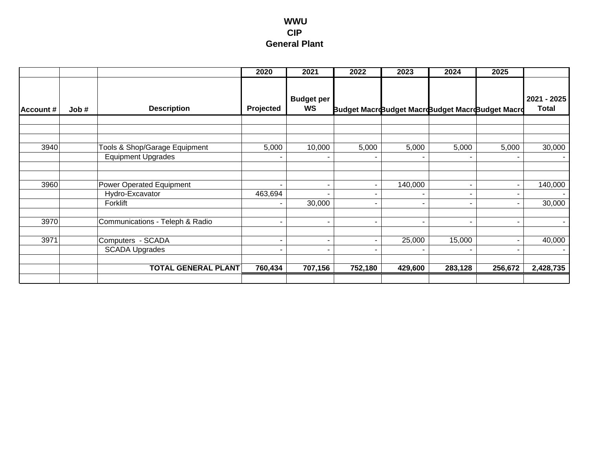### **WWU CIP General Plant**

|                  |                                 | 2020      | 2021                    | 2022                     | 2023    | 2024    | 2025                                             |                      |
|------------------|---------------------------------|-----------|-------------------------|--------------------------|---------|---------|--------------------------------------------------|----------------------|
| <b>Account #</b> | <b>Description</b><br>Job#      | Projected | <b>Budget per</b><br>WS |                          |         |         | Budget MacrdBudget MacrdBudget MacrdBudget Macrd | 2021 - 2025<br>Total |
|                  |                                 |           |                         |                          |         |         |                                                  |                      |
|                  |                                 |           |                         |                          |         |         |                                                  |                      |
| 3940             | Tools & Shop/Garage Equipment   | 5,000     | 10,000                  | 5,000                    | 5,000   | 5,000   | 5,000                                            | 30,000               |
|                  | <b>Equipment Upgrades</b>       |           |                         |                          |         |         |                                                  |                      |
|                  |                                 |           |                         |                          |         |         |                                                  |                      |
| 3960             | Power Operated Equipment        |           |                         | $\sim$                   | 140,000 | ۰       |                                                  | 140,000              |
|                  | Hydro-Excavator                 | 463,694   |                         | $\overline{\phantom{a}}$ |         |         |                                                  |                      |
|                  | Forklift                        |           | 30,000                  | ٠                        | ٠       | ۰       |                                                  | 30,000               |
| 3970             | Communications - Teleph & Radio |           |                         | $\overline{\phantom{a}}$ |         |         |                                                  |                      |
|                  |                                 |           |                         |                          |         |         |                                                  |                      |
| 3971             | Computers - SCADA               | ٠         |                         | $\sim$                   | 25,000  | 15,000  |                                                  | 40,000               |
|                  | <b>SCADA Upgrades</b>           | ٠         | ٠                       | $\overline{\phantom{a}}$ |         |         |                                                  |                      |
|                  |                                 |           |                         |                          |         |         |                                                  |                      |
|                  | <b>TOTAL GENERAL PLANT</b>      | 760,434   | 707,156                 | 752,180                  | 429,600 | 283,128 | 256,672                                          | 2,428,735            |
|                  |                                 |           |                         |                          |         |         |                                                  |                      |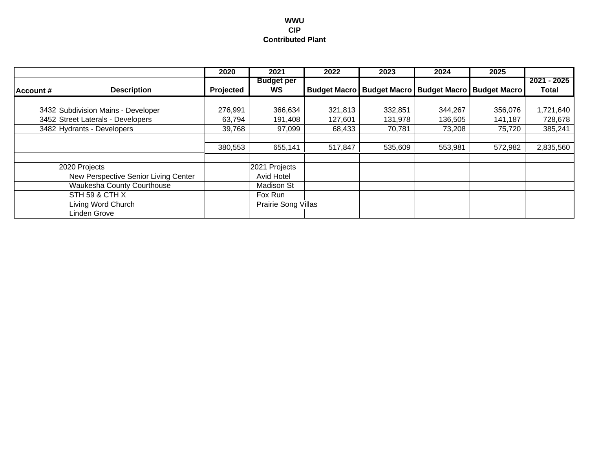#### **WWU CIPContributed Plant**

|          |                                      | 2020      | 2021                | 2022    | 2023    | 2024    | 2025                                                      |             |
|----------|--------------------------------------|-----------|---------------------|---------|---------|---------|-----------------------------------------------------------|-------------|
|          |                                      |           | <b>Budget per</b>   |         |         |         |                                                           | 2021 - 2025 |
| Account# | <b>Description</b>                   | Projected | WS                  |         |         |         | Budget Macro   Budget Macro   Budget Macro   Budget Macro | Total       |
|          |                                      |           |                     |         |         |         |                                                           |             |
|          | 3432 Subdivision Mains - Developer   | 276,991   | 366,634             | 321,813 | 332,851 | 344,267 | 356,076                                                   | 1,721,640   |
|          | 3452 Street Laterals - Developers    | 63,794    | 191,408             | 127,601 | 131,978 | 136,505 | 141,187                                                   | 728,678     |
|          | 3482 Hydrants - Developers           | 39,768    | 97,099              | 68,433  | 70,781  | 73,208  | 75,720                                                    | 385,241     |
|          |                                      |           |                     |         |         |         |                                                           |             |
|          |                                      | 380,553   | 655,141             | 517,847 | 535,609 | 553,981 | 572,982                                                   | 2,835,560   |
|          |                                      |           |                     |         |         |         |                                                           |             |
|          | 2020 Projects                        |           | 2021 Projects       |         |         |         |                                                           |             |
|          | New Perspective Senior Living Center |           | <b>Avid Hotel</b>   |         |         |         |                                                           |             |
|          | Waukesha County Courthouse           |           | Madison St          |         |         |         |                                                           |             |
|          | STH 59 & CTH X                       |           | Fox Run             |         |         |         |                                                           |             |
|          | Living Word Church                   |           | Prairie Song Villas |         |         |         |                                                           |             |
|          | Linden Grove                         |           |                     |         |         |         |                                                           |             |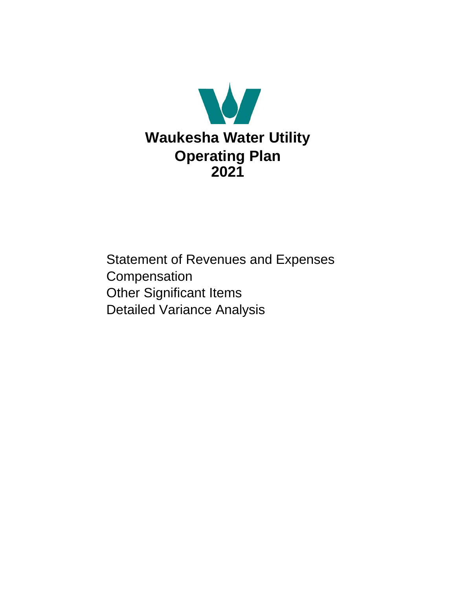

Statement of Revenues and Expenses **Compensation** Other Significant Items Detailed Variance Analysis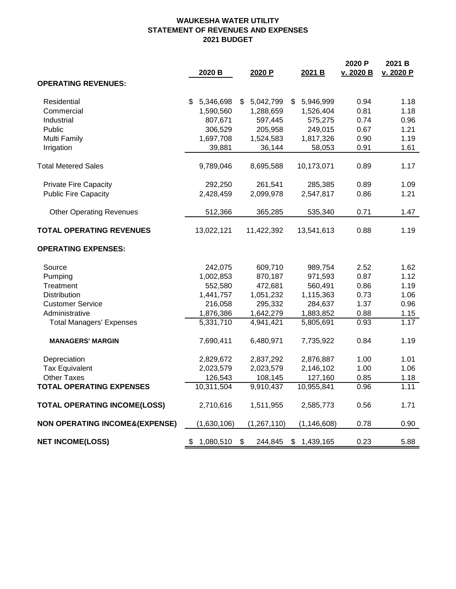#### **WAUKESHA WATER UTILITY STATEMENT OF REVENUES AND EXPENSES 2021 BUDGET**

|                                           |    | 2020 B               | 2020 P             | 2021 B               | 2020 P<br>v. 2020 B | 2021 B<br>v. 2020 P |
|-------------------------------------------|----|----------------------|--------------------|----------------------|---------------------|---------------------|
| <b>OPERATING REVENUES:</b>                |    |                      |                    |                      |                     |                     |
|                                           |    |                      |                    |                      |                     |                     |
| Residential                               | \$ | 5,346,698            | \$<br>5,042,799    | \$<br>5,946,999      | 0.94                | 1.18<br>1.18        |
| Commercial                                |    | 1,590,560<br>807,671 | 1,288,659          | 1,526,404<br>575,275 | 0.81<br>0.74        | 0.96                |
| Industrial<br>Public                      |    | 306,529              | 597,445<br>205,958 | 249,015              | 0.67                | 1.21                |
| <b>Multi Family</b>                       |    | 1,697,708            | 1,524,583          | 1,817,326            | 0.90                | 1.19                |
| Irrigation                                |    | 39,881               | 36,144             | 58,053               | 0.91                | 1.61                |
|                                           |    |                      |                    |                      |                     |                     |
| <b>Total Metered Sales</b>                |    | 9,789,046            | 8,695,588          | 10,173,071           | 0.89                | 1.17                |
| <b>Private Fire Capacity</b>              |    | 292,250              | 261,541            | 285,385              | 0.89                | 1.09                |
| <b>Public Fire Capacity</b>               |    | 2,428,459            | 2,099,978          | 2,547,817            | 0.86                | 1.21                |
| <b>Other Operating Revenues</b>           |    | 512,366              | 365,285            | 535,340              | 0.71                | 1.47                |
| <b>TOTAL OPERATING REVENUES</b>           |    | 13,022,121           | 11,422,392         | 13,541,613           | 0.88                | 1.19                |
| <b>OPERATING EXPENSES:</b>                |    |                      |                    |                      |                     |                     |
| Source                                    |    | 242,075              | 609,710            | 989,754              | 2.52                | 1.62                |
| Pumping                                   |    | 1,002,853            | 870,187            | 971,593              | 0.87                | 1.12                |
| Treatment                                 |    | 552,580              | 472,681            | 560,491              | 0.86                | 1.19                |
| <b>Distribution</b>                       |    | 1,441,757            | 1,051,232          | 1,115,363            | 0.73                | 1.06                |
| <b>Customer Service</b>                   |    | 216,058              | 295,332            | 284,637              | 1.37                | 0.96                |
| Administrative                            |    | 1,876,386            | 1,642,279          | 1,883,852            | 0.88                | 1.15                |
| <b>Total Managers' Expenses</b>           |    | 5,331,710            | 4,941,421          | 5,805,691            | 0.93                | 1.17                |
| <b>MANAGERS' MARGIN</b>                   |    | 7,690,411            | 6,480,971          | 7,735,922            | 0.84                | 1.19                |
| Depreciation                              |    | 2,829,672            | 2,837,292          | 2,876,887            | 1.00                | 1.01                |
| <b>Tax Equivalent</b>                     |    | 2,023,579            | 2,023,579          | 2,146,102            | 1.00                | 1.06                |
| <b>Other Taxes</b>                        |    | 126,543              | 108,145            | 127,160              | 0.85                | 1.18                |
| <b>TOTAL OPERATING EXPENSES</b>           |    | 10,311,504           | 9,910,437          | 10,955,841           | 0.96                | 1.11                |
| <b>TOTAL OPERATING INCOME(LOSS)</b>       |    | 2,710,616            | 1,511,955          | 2,585,773            | 0.56                | 1.71                |
| <b>NON OPERATING INCOME&amp;(EXPENSE)</b> |    | (1,630,106)          | (1, 267, 110)      | (1, 146, 608)        | 0.78                | 0.90                |
| <b>NET INCOME(LOSS)</b>                   | Ψ, | 1,080,510            | \$<br>244,845      | \$1,439,165          | 0.23                | 5.88                |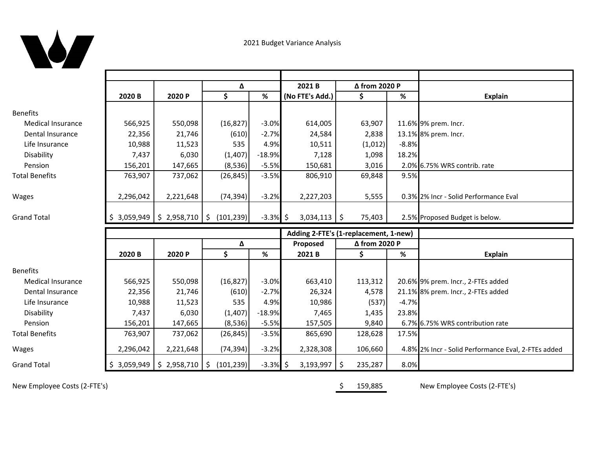

|                       |             |                               | Δ          |             | 2021B                                                              | ∆ from 2020 P |         |                                                     |
|-----------------------|-------------|-------------------------------|------------|-------------|--------------------------------------------------------------------|---------------|---------|-----------------------------------------------------|
|                       | 2020 B      | 2020 P                        | \$         | $\%$        | (No FTE's Add.)                                                    | \$            | $\%$    | <b>Explain</b>                                      |
| <b>Benefits</b>       |             |                               |            |             |                                                                    |               |         |                                                     |
| Medical Insurance     | 566,925     | 550,098                       | (16, 827)  | $-3.0%$     | 614,005                                                            | 63,907        |         | 11.6% 9% prem. Incr.                                |
| Dental Insurance      | 22,356      | 21,746                        | (610)      | $-2.7%$     | 24,584                                                             | 2,838         |         | 13.1% 8% prem. Incr.                                |
| Life Insurance        | 10,988      | 11,523                        | 535        | 4.9%        | 10,511                                                             | (1,012)       | $-8.8%$ |                                                     |
| Disability            | 7,437       | 6,030                         | (1,407)    | $-18.9%$    | 7,128                                                              | 1,098         | 18.2%   |                                                     |
| Pension               | 156,201     | 147,665                       | (8,536)    | $-5.5%$     | 150,681                                                            | 3,016         |         | 2.0% 6.75% WRS contrib. rate                        |
| <b>Total Benefits</b> | 763,907     | 737,062                       | (26, 845)  | $-3.5%$     | 806,910                                                            | 69,848        | 9.5%    |                                                     |
| Wages                 | 2,296,042   | 2,221,648                     | (74, 394)  | $-3.2%$     | 2,227,203                                                          | 5,555         |         | 0.3% 2% Incr - Solid Performance Eval               |
| <b>Grand Total</b>    |             | $$3,059,949$ $$2,958,710$ $$$ | (101, 239) | $-3.3\%$ \$ | $3,034,113$ \$                                                     | 75,403        |         | 2.5% Proposed Budget is below.                      |
|                       |             |                               |            |             |                                                                    |               |         |                                                     |
|                       |             |                               | Δ          |             | Adding 2-FTE's (1-replacement, 1-new)<br>∆ from 2020 P<br>Proposed |               |         |                                                     |
|                       | 2020 B      | 2020 P                        | \$         | $\%$        | 2021B                                                              | \$            | %       | <b>Explain</b>                                      |
|                       |             |                               |            |             |                                                                    |               |         |                                                     |
| <b>Benefits</b>       |             |                               |            |             |                                                                    |               |         |                                                     |
| Medical Insurance     | 566,925     | 550,098                       | (16, 827)  | $-3.0%$     | 663,410                                                            | 113,312       |         | 20.6% 9% prem. Incr., 2-FTEs added                  |
| Dental Insurance      | 22,356      | 21,746                        | (610)      | $-2.7%$     | 26,324                                                             | 4,578         |         | 21.1% 8% prem. Incr., 2-FTEs added                  |
| Life Insurance        | 10,988      | 11,523                        | 535        | 4.9%        | 10,986                                                             | (537)         | $-4.7%$ |                                                     |
| Disability            | 7,437       | 6,030                         | (1,407)    | $-18.9%$    | 7,465                                                              | 1,435         | 23.8%   |                                                     |
| Pension               | 156,201     | 147,665                       | (8,536)    | $-5.5%$     | 157,505                                                            | 9,840         |         | 6.7% 6.75% WRS contribution rate                    |
| <b>Total Benefits</b> | 763,907     | 737,062                       | (26, 845)  | $-3.5%$     | 865,690                                                            | 128,628       | 17.5%   |                                                     |
| Wages                 | 2,296,042   | 2,221,648                     | (74, 394)  | $-3.2%$     | 2,328,308                                                          | 106,660       |         | 4.8% 2% Incr - Solid Performance Eval, 2-FTEs added |
| <b>Grand Total</b>    | \$3,059,949 | $$2,958,710$ $$$              | (101, 239) | $-3.3\%$ \$ | $3,193,997$ \$                                                     | 235,287       | 8.0%    |                                                     |

New Employee Costs (2-FTE's)

Employee Costs (2‐FTE's) 159,885 \$ New Employee Costs (2‐FTE's)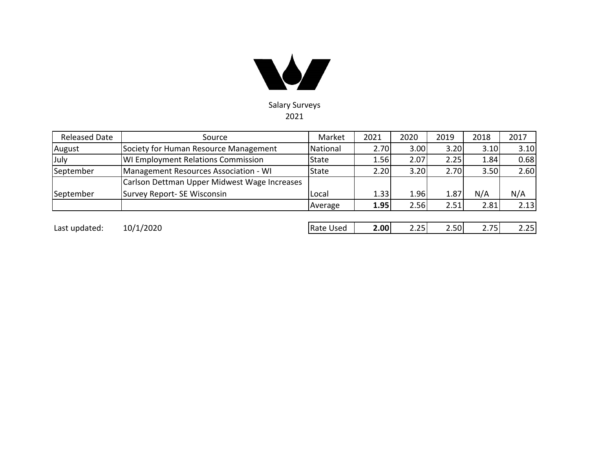

| <b>Released Date</b> | Source                                       | Market           | 2021 | 2020 | 2019 | 2018 | 2017 |
|----------------------|----------------------------------------------|------------------|------|------|------|------|------|
| August               | Society for Human Resource Management        | National         | 2.70 | 3.00 | 3.20 | 3.10 | 3.10 |
| July                 | <b>WI Employment Relations Commission</b>    | State            | 1.56 | 2.07 | 2.25 | 1.84 | 0.68 |
| September            | Management Resources Association - WI        | State            | 2.20 | 3.20 | 2.70 | 3.50 | 2.60 |
|                      | Carlson Dettman Upper Midwest Wage Increases |                  |      |      |      |      |      |
| September            | Survey Report- SE Wisconsin                  | Local            | 1.33 | 1.96 | 1.87 | N/A  | N/A  |
|                      |                                              | Average          | 1.95 | 2.56 | 2.51 | 2.81 | 2.13 |
|                      |                                              |                  |      |      |      |      |      |
| Last updated:        | 10/1/2020                                    | <b>Rate Used</b> | 2.00 | 2.25 | 2.50 | 2.75 | 2.25 |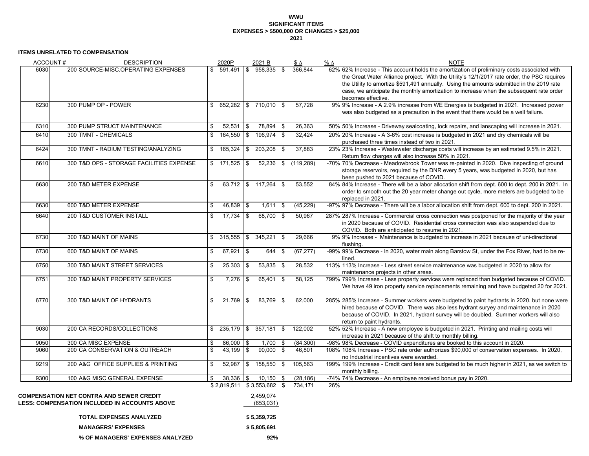#### **WWU SIGNIFICANT ITEMS EXPENSES > \$500,000 OR CHANGES > \$25,000 2021**

#### **ITEMS UNRELATED TO COMPENSATION**

| ACCOUNT#                                                                                         | <b>DESCRIPTION</b>                       | 2020P                   | 2021 B                                                            | $\$\Delta$            | $% \Delta$<br><b>NOTE</b>                                                                                                                                                                                                                                                                                                                                                                               |
|--------------------------------------------------------------------------------------------------|------------------------------------------|-------------------------|-------------------------------------------------------------------|-----------------------|---------------------------------------------------------------------------------------------------------------------------------------------------------------------------------------------------------------------------------------------------------------------------------------------------------------------------------------------------------------------------------------------------------|
| 6030                                                                                             | 200 SOURCE-MISC.OPERATING EXPENSES<br>\$ | 591,491                 | \$958,335                                                         | 366,844<br><b>S</b>   | 62% 62% Increase - This account holds the amortization of preliminary costs associated with<br>the Great Water Alliance project. With the Utility's 12/1/2017 rate order, the PSC requires<br>the Utility to amortize \$591,491 annually. Using the amounts submitted in the 2019 rate<br>case, we anticipate the monthly amortization to increase when the subsequent rate order<br>becomes effective. |
| 6230<br>300 PUMP OP - POWER                                                                      |                                          | $\mathbb{S}$            | 652,282 \$710,010                                                 | <b>S</b><br>57.728    | 9% 9% Increase - A 2.9% increase from WE Energies is budgeted in 2021. Increased power<br>was also budgeted as a precaution in the event that there would be a well failure.                                                                                                                                                                                                                            |
| 6310                                                                                             | 300 PUMP STRUCT MAINTENANCE<br>\$        |                         | 78,894                                                            | 26,363<br>l \$        | 50% 50% Increase - Driveway sealcoating, lock repairs, and lanscaping will increase in 2021.                                                                                                                                                                                                                                                                                                            |
| 300 TMNT - CHEMICALS<br>6410                                                                     | \$                                       | 164,550                 | $\mathfrak s$<br>196,974                                          | 32,424<br>\$          | 20% 20% Increase - A 3-6% cost increase is budgeted in 2021 and dry chemicals will be<br>purchased three times instead of two in 2021.                                                                                                                                                                                                                                                                  |
| 6424                                                                                             | 300 TMNT - RADIUM TESTING/ANALYZING      | 165,324<br>\$           | \$203,208                                                         | 37,883<br>$\mathbf S$ | 23% 23% Increase - Wastewater discharge costs will increase by an estimated 9.5% in 2021.<br>Return flow charges will also increase 50% in 2021.                                                                                                                                                                                                                                                        |
| 6610                                                                                             | 300 T&D OPS - STORAGE FACILITIES EXPENSE | 171,525<br>$\mathbb{S}$ | 52,236<br>\$                                                      | (119, 289)<br>\$      | -70% 70% Decrease - Meadowbrook Tower was re-painted in 2020. Dive inspecting of ground<br>storage reservoirs, required by the DNR every 5 years, was budgeted in 2020, but has<br>been pushed to 2021 because of COVID.                                                                                                                                                                                |
| 6630<br>200 T&D METER EXPENSE                                                                    | \$                                       |                         | 63,712   \$ 117,264                                               | 53,552<br>\$          | 84% 84% Increase - There will be a labor allocation shift from dept. 600 to dept. 200 in 2021. In<br>order to smooth out the 20 year meter change out cycle, more meters are budgeted to be<br>replaced in 2021.                                                                                                                                                                                        |
| 600 T&D METER EXPENSE<br>6630                                                                    | \$                                       | 46,839                  | $\sqrt{3}$<br>1,611                                               | (45, 229)<br><b>S</b> | -97% 97% Decrease - There will be a labor allocation shift from dept. 600 to dept. 200 in 2021.                                                                                                                                                                                                                                                                                                         |
| 6640<br>200 T&D CUSTOMER INSTALL                                                                 | \$                                       | 17,734                  | 68,700<br>$\overline{\mathbf{e}}$                                 | 50,967<br>\$          | 287% 287% Increase - Commercial cross connection was postponed for the majority of the year<br>in 2020 because of COVID. Residential cross connection was also suspended due to<br>COVID. Both are anticipated to resume in 2021.                                                                                                                                                                       |
| 6730<br>300 T&D MAINT OF MAINS                                                                   |                                          | \$                      | 315,555 \$ 345,221                                                | 29,666<br>\$          | 9% 9% Increase - Maintenance is budgeted to increase in 2021 because of uni-directional<br>flushina.                                                                                                                                                                                                                                                                                                    |
| 6730<br>600 T&D MAINT OF MAINS                                                                   | \$                                       | 67,921                  | $\mathfrak s$<br>644                                              | (67, 277)<br>\$       | -99% 99% Decrease - In 2020, water main along Barstow St, under the Fox River, had to be re-<br>lined.                                                                                                                                                                                                                                                                                                  |
| 6750                                                                                             | 300 T&D MAINT STREET SERVICES<br>\$      | 25,303                  | 53,835<br>\$                                                      | 28,532                | 113% 113% Increase - Less street service maintenance was budgeted in 2020 to allow for<br>maintenance projects in other areas.                                                                                                                                                                                                                                                                          |
| 6751                                                                                             | 300 T&D MAINT PROPERTY SERVICES<br>\$    | 7,276                   | $\mathbb{S}$<br>65,401                                            | 58,125<br>$\mathbf S$ | 799% 799% Increase - Less property services were replaced than budgeted because of COVID.<br>We have 49 iron property service replacements remaining and have budgeted 20 for 2021.                                                                                                                                                                                                                     |
| 6770<br>300 T&D MAINT OF HYDRANTS                                                                | \$                                       | $21,769$ \$             | 83,769                                                            | 62,000<br><b>S</b>    | 285% 285% Increase - Summer workers were budgeted to paint hydrants in 2020, but none were<br>hired because of COVID. There was also less hydrant suryey and maintenance in 2020<br>because of COVID. In 2021, hydrant survey will be doubled. Summer workers will also<br>return to paint hydrants.                                                                                                    |
| 9030                                                                                             | 200 CA RECORDS/COLLECTIONS               | \$                      | 235,179 \$ 357,181                                                | 122,002<br>$\sqrt{3}$ | 52% 52% Increase - A new employee is budgeted in 2021. Printing and mailing costs will<br>increase in 2021 because of the shift to monthly billing.                                                                                                                                                                                                                                                     |
| 9050<br>300 CA MISC EXPENSE                                                                      | \$                                       | 86,000                  | \$<br>1,700                                                       | \$<br>(84, 300)       | 98% Decrease - COVID expenditures are booked to this account in 2020.<br>$-98%$                                                                                                                                                                                                                                                                                                                         |
| 9060                                                                                             | 200 CA CONSERVATION & OUTREACH<br>\$     | 43.199                  | \$<br>90,000                                                      | \$<br>46,801          | 108% 108% Increase - PSC rate order authorizes \$90,000 of conservation expenses. In 2020,<br>no Industrial incentives were awarded.                                                                                                                                                                                                                                                                    |
| 9219                                                                                             | 200 A&G OFFICE SUPPLIES & PRINTING<br>\$ | 52,987                  | \$158,550                                                         | 105,563<br><b>S</b>   | 199% 199% Increase - Credit card fees are budgeted to be much higher in 2021, as we switch to<br>monthly billing.                                                                                                                                                                                                                                                                                       |
| 9300                                                                                             | 100 A&G MISC GENERAL EXPENSE<br>\$       | $38,336$ \ \$           | 10,150                                                            | (28, 186)<br>l \$     | -74% 74% Decrease - An employee received bonus pay in 2020.                                                                                                                                                                                                                                                                                                                                             |
| <b>COMPENSATION NET CONTRA AND SEWER CREDIT</b><br>LESS: COMPENSATION INCLUDED IN ACCOUNTS ABOVE | <b>TOTAL EXPENSES ANALYZED</b>           |                         | \$2,819,511 \$3,553,682<br>2,459,074<br>(653, 031)<br>\$5,359,725 | - \$<br>734.171       | 26%                                                                                                                                                                                                                                                                                                                                                                                                     |
|                                                                                                  | <b>MANAGERS' EXPENSES</b>                |                         | \$5,805,691                                                       |                       |                                                                                                                                                                                                                                                                                                                                                                                                         |
|                                                                                                  | % OF MANAGERS' EXPENSES ANALYZED         |                         | 92%                                                               |                       |                                                                                                                                                                                                                                                                                                                                                                                                         |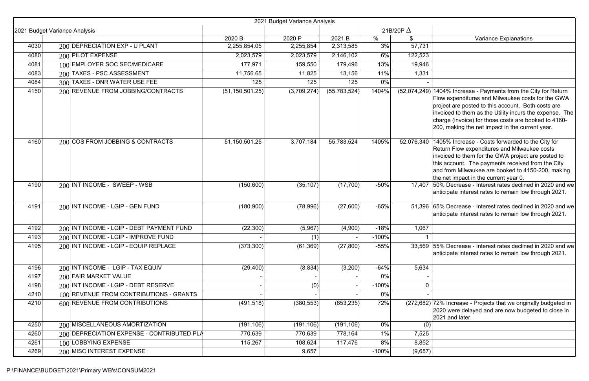1404% Increase - Payments from the City for Return Flow expenditures and Milwaukee costs for the GWA project are posted to this account. Both costs are invoiced to them as the Utility incurs the expense. The charge (invoice) for those costs are booked to 4160- 200, making the net impact in the current year.

1405% Increase - Costs forwarded to the City for Return Flow expenditures and Milwaukee costs invoiced to them for the GWA project are posted to this account. The payments received from the City and from Milwaukee are booked to 4150-200, making the net impact in the current year 0.

150% Decrease - Interest rates declined in 2020 and we anticipate interest rates to remain low through 2021.

165% Decrease - Interest rates declined in 2020 and we anticipate interest rates to remain low through 2021.

155% Decrease - Interest rates declined in 2020 and we anticipate interest rates to remain low through 2021.

72% Increase - Projects that we originally budgeted in 2020 were delayed and are now budgeted to close in 2021 and later.

|                               |                                            |                   | 2021 Budget Variance Analysis |                |               |                  |
|-------------------------------|--------------------------------------------|-------------------|-------------------------------|----------------|---------------|------------------|
| 2021 Budget Variance Analysis |                                            |                   |                               |                |               | 21B/20P $\Delta$ |
|                               |                                            | 2020 B            | 2020 P                        | 2021 B         | $\frac{0}{0}$ | \$               |
| 4030                          | 200 DEPRECIATION EXP - U PLANT             | 2,255,854.05      | 2,255,854                     | 2,313,585      | 3%            | 57,731           |
| 4080                          | 200 PILOT EXPENSE                          | 2,023,579         | 2,023,579                     | 2,146,102      | 6%            | 122,523          |
| 4081                          | 100 EMPLOYER SOC SEC/MEDICARE              | 177,971           | 159,550                       | 179,496        | 13%           | 19,946           |
| 4083                          | 200 TAXES - PSC ASSESSMENT                 | 11,756.65         | 11,825                        | 13,156         | 11%           | 1,331            |
| 4084                          | 300 TAXES - DNR WATER USE FEE              | 125               | 125                           | 125            | $0\%$         |                  |
| 4150                          | 200 REVENUE FROM JOBBING/CONTRACTS         | (51, 150, 501.25) | (3,709,274)                   | (55, 783, 524) | 1404%         | (52,074,249)     |
| 4160                          | 200 COS FROM JOBBING & CONTRACTS           | 51,150,501.25     | 3,707,184                     | 55,783,524     | 1405%         | 52,076,340       |
| 4190                          | 200 INT INCOME - SWEEP - WSB               | (150, 600)        | (35, 107)                     | (17,700)       | $-50%$        | 17,407           |
| 4191                          | 200 INT INCOME - LGIP - GEN FUND           | (180, 900)        | (78,996)                      | (27,600)       | $-65%$        | 51,396           |
| 4192                          | 200 INT INCOME - LGIP - DEBT PAYMENT FUND  | (22, 300)         | (5,967)                       | (4,900)        | $-18%$        | 1,067            |
| 4193                          | 200 INT INCOME - LGIP - IMPROVE FUND       |                   | (1)                           |                | $-100%$       |                  |
| 4195                          | 200 INT INCOME - LGIP - EQUIP REPLACE      | (373, 300)        | (61, 369)                     | (27, 800)      | $-55%$        | 33,569           |
| 4196                          | 200 INT INCOME - LGIP - TAX EQUIV          | (29, 400)         | (8,834)                       | (3,200)        | $-64%$        | 5,634            |
| 4197                          | 200 FAIR MARKET VALUE                      |                   |                               |                | $0\%$         |                  |
| 4198                          | 200 INT INCOME - LGIP - DEBT RESERVE       |                   | (0)                           |                | $-100%$       | $\mathbf 0$      |
| 4210                          | 100 REVENUE FROM CONTRIBUTIONS - GRANTS    |                   |                               |                | $0\%$         |                  |
| 4210                          | 600 REVENUE FROM CONTRIBUTIONS             | (491, 518)        | (380, 553)                    | (653, 235)     | 72%           | (272, 682)       |
| 4250                          | 200 MISCELLANEOUS AMORTIZATION             | (191, 106)        | (191, 106)                    | (191, 106)     | $0\%$         | (0)              |
| 4260                          | 200 DEPRECIATION EXPENSE - CONTRIBUTED PLA | 770,639           | 770,639                       | 778,164        | $1\%$         | 7,525            |
| 4261                          | 100 LOBBYING EXPENSE                       | 115,267           | 108,624                       | 117,476        | 8%            | 8,852            |
| 4269                          | 200 MISC INTEREST EXPENSE                  |                   | 9,657                         |                | $-100%$       | (9,657)          |

### **Variance Explanations**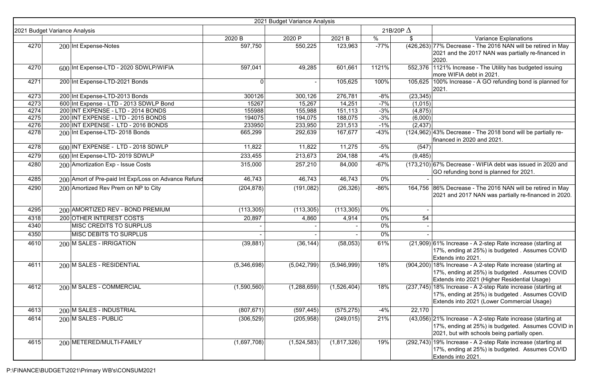17% Decrease - The 2016 NAN will be retired in May 2021 and the 2017 NAN was partially re-financed in 2020.

1121% Increase - The Utility has budgeted issuing more WIFIA debt in 2021.

100% Increase - A GO refunding bond is planned for 2021.

13% Decrease - The 2018 bond will be partially refinanced in 2020 and 2021.

 $|67\%$  Decrease - WIFIA debt was issued in 2020 and GO refunding bond is planned for 2021.

86% Decrease - The 2016 NAN will be retired in May 2021 and 2017 NAN was partially re-financed in 2020.

61% Increase - A 2-step Rate increase (starting at 17%, ending at 25%) is budgeted . Assumes COVID Extends into 2021.

18% Increase - A 2-step Rate increase (starting at 17%, ending at 25%) is budgeted . Assumes COVID Extends into 2021 (Higher Residential Usage)

18% Increase - A 2-step Rate increase (starting at 17%, ending at 25%) is budgeted . Assumes COVID Extends into 2021 (Lower Commercial Usage)

21% Increase - A 2-step Rate increase (starting at 17%, ending at 25%) is budgeted. Assumes COVID in 2021, but with schools being partially open.

|      |                                                      | 2021 Budget Variance Analysis |             |             |        |                  |  |  |  |
|------|------------------------------------------------------|-------------------------------|-------------|-------------|--------|------------------|--|--|--|
|      | 2021 Budget Variance Analysis                        |                               |             |             |        | 21B/20P $\Delta$ |  |  |  |
|      |                                                      | 2020 B                        | 2020 P      | 2021 B      | $\%$   | \$               |  |  |  |
| 4270 | 200 Int Expense-Notes                                | 597,750                       | 550,225     | 123,963     | $-77%$ | (426, 263)       |  |  |  |
| 4270 | 600 Int Expense-LTD - 2020 SDWLP/WIFIA               | 597,041                       | 49,285      | 601,661     | 1121%  | 552,376          |  |  |  |
| 4271 | 200 Int Expense-LTD-2021 Bonds                       | $\mathbf 0$                   |             | 105,625     | 100%   | 105,625          |  |  |  |
| 4273 | 200 Int Expense-LTD-2013 Bonds                       | 300126                        | 300,126     | 276,781     | $-8%$  | (23, 345)        |  |  |  |
| 4273 | 600 Int Expense - LTD - 2013 SDWLP Bond              | 15267                         | 15,267      | 14,251      | $-7%$  | (1,015)          |  |  |  |
| 4274 | 200 INT EXPENSE - LTD - 2014 BONDS                   | 155988                        | 155,988     | 151,113     | $-3%$  | (4,875)          |  |  |  |
| 4275 | 200 INT EXPENSE - LTD - 2015 BONDS                   | 194075                        | 194,075     | 188,075     | $-3%$  | (6,000)          |  |  |  |
| 4276 | 200 INT EXPENSE - LTD - 2016 BONDS                   | 233950                        | 233,950     | 231,513     | $-1\%$ | (2, 437)         |  |  |  |
| 4278 | 200 Int Expense-LTD-2018 Bonds                       | 665,299                       | 292,639     | 167,677     | $-43%$ | (124, 962)       |  |  |  |
| 4278 | 600 INT EXPENSE - LTD - 2018 SDWLP                   | 11,822                        | 11,822      | 11,275      | $-5%$  | (547)            |  |  |  |
| 4279 | $600$ Int Expense-LTD- 2019 SDWLP                    | 233,455                       | 213,673     | 204,188     | -4%    | (9, 485)         |  |  |  |
| 4280 | 200 Amortization Exp - Issue Costs                   | 315,000                       | 257,210     | 84,000      | $-67%$ | (173, 210)       |  |  |  |
| 4285 | 200 Amort of Pre-paid Int Exp/Loss on Advance Refund | 46,743                        | 46,743      | 46,743      | $0\%$  |                  |  |  |  |
| 4290 | 200 Amortized Rev Prem on NP to City                 | (204, 878)                    | (191, 082)  | (26, 326)   | $-86%$ | 164,756          |  |  |  |
| 4295 | 200 AMORTIZED REV - BOND PREMIUM                     | (113, 305)                    | (113, 305)  | (113, 305)  | $0\%$  |                  |  |  |  |
| 4318 | 200 OTHER INTEREST COSTS                             | 20,897                        | 4,860       | 4,914       | $0\%$  | 54               |  |  |  |
| 4340 | <b>MISC CREDITS TO SURPLUS</b>                       |                               |             |             | $0\%$  |                  |  |  |  |
| 4350 | MISC DEBITS TO SURPLUS                               |                               |             |             | $0\%$  |                  |  |  |  |
|      |                                                      |                               |             |             |        |                  |  |  |  |
| 4610 | 200 M SALES - IRRIGATION                             | (39, 881)                     | (36, 144)   | (58,053)    | 61%    | (21,909)         |  |  |  |
| 4611 | 200 M SALES - RESIDENTIAL                            | (5,346,698)                   | (5,042,799) | (5,946,999) | 18%    | (904, 200)       |  |  |  |
| 4612 | 200 M SALES - COMMERCIAL                             | (1,590,560)                   | (1,288,659) | (1,526,404) | 18%    | (237, 745)       |  |  |  |
|      |                                                      |                               |             |             |        |                  |  |  |  |
| 4613 | 200 M SALES - INDUSTRIAL                             | (807, 671)                    | (597, 445)  | (575, 275)  | $-4%$  | 22,170           |  |  |  |
| 4614 | $200$ M SALES - PUBLIC                               | (306, 529)                    | (205, 958)  | (249, 015)  | 21%    | (43,056)         |  |  |  |
| 4615 | 200 METERED/MULTI-FAMILY                             | (1,697,708)                   | (1,524,583) | (1,817,326) | 19%    | (292, 743)       |  |  |  |

19% Increase - A 2-step Rate increase (starting at 17%, ending at 25%) is budgeted. Assumes COVID Extends into 2021.

### Variance Explanations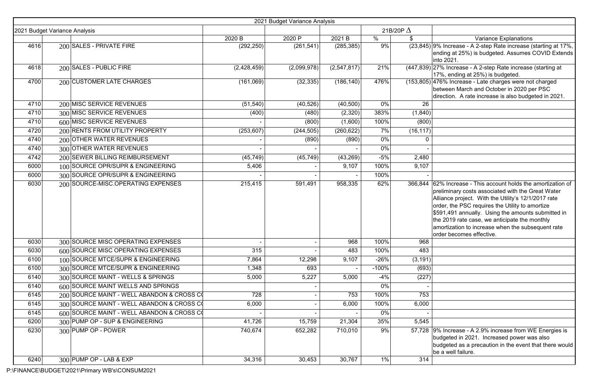9% Increase - A 2-step Rate increase (starting at 17%, ending at 25%) is budgeted. Assumes COVID Extends into 2021.

27% Increase - A 2-step Rate increase (starting at 17%, ending at 25%) is budgeted.

176% Increase - Late charges were not charged between March and October in 2020 per PSC direction. A rate increase is also budgeted in 2021.

 $\vert$ 62% Increase - This account holds the amortization of preliminary costs associated with the Great Water Alliance project. With the Utility's 12/1/2017 rate order, the PSC requires the Utility to amortize \$591,491 annually. Using the amounts submitted in the 2019 rate case, we anticipate the monthly amortization to increase when the subsequent rate order becomes effective.

9% Increase - A 2.9% increase from WE Energies is budgeted in 2021. Increased power was also budgeted as a precaution in the event that there would be a well failure.

|                               |                                            |             | 2021 Budget Variance Analysis |             |         |                                                                                                                                                                                                                                                                                                                                               |
|-------------------------------|--------------------------------------------|-------------|-------------------------------|-------------|---------|-----------------------------------------------------------------------------------------------------------------------------------------------------------------------------------------------------------------------------------------------------------------------------------------------------------------------------------------------|
| 2021 Budget Variance Analysis |                                            |             |                               |             |         | 21B/20P $\Delta$                                                                                                                                                                                                                                                                                                                              |
|                               |                                            | 2020 B      | 2020 P                        | 2021 B      | %       | <b>Variance Explanations</b>                                                                                                                                                                                                                                                                                                                  |
| 4616                          | 200 SALES - PRIVATE FIRE                   | (292, 250)  | (261, 541)                    | (285, 385)  | 9%      | (23,845) 9% Increase - A 2-step Rate increase (<br>ending at 25%) is budgeted. Assumes<br>into 2021.                                                                                                                                                                                                                                          |
| 4618                          | 200 SALES - PUBLIC FIRE                    | (2,428,459) | (2,099,978)                   | (2,547,817) | 21%     | (447,839) 27% Increase - A 2-step Rate increase<br>17%, ending at 25%) is budgeted.                                                                                                                                                                                                                                                           |
| 4700                          | 200 CUSTOMER LATE CHARGES                  | (161,069)   | (32, 335)                     | (186, 140)  | 476%    | (153,805) 476% Increase - Late charges were no<br>between March and October in 2020 p<br>direction. A rate increase is also budge                                                                                                                                                                                                             |
| 4710                          | 200 MISC SERVICE REVENUES                  | (51, 540)   | (40, 526)                     | (40, 500)   | $0\%$   | 26                                                                                                                                                                                                                                                                                                                                            |
| 4710                          | 300 MISC SERVICE REVENUES                  | (400)       | (480)                         | (2,320)     | 383%    | (1,840)                                                                                                                                                                                                                                                                                                                                       |
| 4710                          | 600 MISC SERVICE REVENUES                  |             | (800)                         | (1,600)     | 100%    | (800)                                                                                                                                                                                                                                                                                                                                         |
| 4720                          | 200 RENTS FROM UTILITY PROPERTY            | (253, 607)  | (244, 505)                    | (260, 622)  | 7%      | (16, 117)                                                                                                                                                                                                                                                                                                                                     |
| 4740                          | $200$ OTHER WATER REVENUES                 |             | (890)                         | (890)       | $0\%$   | $\Omega$                                                                                                                                                                                                                                                                                                                                      |
| 4740                          | 300 OTHER WATER REVENUES                   |             |                               |             | $0\%$   |                                                                                                                                                                                                                                                                                                                                               |
| 4742                          | 200 SEWER BILLING REIMBURSEMENT            | (45, 749)   | (45, 749)                     | (43, 269)   | $-5%$   | 2,480                                                                                                                                                                                                                                                                                                                                         |
| 6000                          | 100 SOURCE OPR/SUPR & ENGINEERING          | 5,406       |                               | 9,107       | 100%    | 9,107                                                                                                                                                                                                                                                                                                                                         |
| 6000                          | 300 SOURCE OPR/SUPR & ENGINEERING          |             |                               |             | 100%    |                                                                                                                                                                                                                                                                                                                                               |
| 6030                          | 200 SOURCE-MISC.OPERATING EXPENSES         | 215,415     | 591,491                       | 958,335     | 62%     | 366,844 62% Increase - This account holds the<br>preliminary costs associated with the C<br>Alliance project. With the Utility's 12/1.<br>order, the PSC requires the Utility to ar<br>\$591,491 annually. Using the amounts<br>the 2019 rate case, we anticipate the n<br>amortization to increase when the subs<br>order becomes effective. |
| 6030                          | 300 SOURCE MISC OPERATING EXPENSES         |             |                               | 968         | 100%    | 968                                                                                                                                                                                                                                                                                                                                           |
| 6030                          | 600 SOURCE MISC OPERATING EXPENSES         | 315         |                               | 483         | 100%    | 483                                                                                                                                                                                                                                                                                                                                           |
| 6100                          | 100 SOURCE MTCE/SUPR & ENGINEERING         | 7,864       | 12,298                        | 9,107       | $-26%$  | (3, 191)                                                                                                                                                                                                                                                                                                                                      |
| 6100                          | 300 SOURCE MTCE/SUPR & ENGINEERING         | 1,348       | 693                           |             | $-100%$ | (693)                                                                                                                                                                                                                                                                                                                                         |
| 6140                          | 300 SOURCE MAINT - WELLS & SPRINGS         | 5,000       | 5,227                         | 5,000       | $-4%$   | (227)                                                                                                                                                                                                                                                                                                                                         |
| 6140                          | 600 SOURCE MAINT WELLS AND SPRINGS         |             |                               |             | $0\%$   |                                                                                                                                                                                                                                                                                                                                               |
| 6145                          | 200 SOURCE MAINT - WELL ABANDON & CROSS CO | 728         |                               | 753         | 100%    | 753                                                                                                                                                                                                                                                                                                                                           |
| 6145                          | 300 SOURCE MAINT - WELL ABANDON & CROSS CO | 6,000       |                               | 6,000       | 100%    | 6,000                                                                                                                                                                                                                                                                                                                                         |
| 6145                          | 600 SOURCE MAINT - WELL ABANDON & CROSS CO |             |                               |             | $0\%$   |                                                                                                                                                                                                                                                                                                                                               |
| 6200                          | 300 PUMP OP - SUP & ENGINEERING            | 41,726      | 15,759                        | 21,304      | 35%     | 5,545                                                                                                                                                                                                                                                                                                                                         |
| 6230                          | 300 PUMP OP - POWER                        | 740,674     | 652,282                       | 710,010     | 9%      | 57,728 9% Increase - A 2.9% increase from W<br>budgeted in 2021. Increased power wa<br>budgeted as a precaution in the event<br>be a well failure.                                                                                                                                                                                            |
| 6240                          | $300$ PUMP OP - LAB & EXP                  | 34,316      | 30,453                        | 30,767      | $1\%$   | 314                                                                                                                                                                                                                                                                                                                                           |

| <b>Variance Explanations</b> |
|------------------------------|
|                              |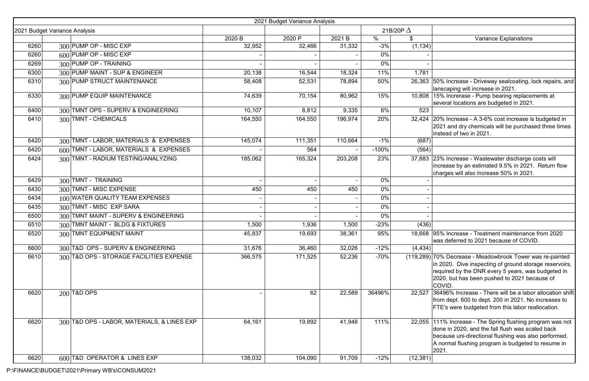50% Increase - Driveway sealcoating, lock repairs, and lanscaping will increase in 2021.

15% Increrase - Pump bearing replacements at several locations are budgeted in 2021.

 $20%$  Increase - A 3-6% cost increase is budgeted in 2021 and dry chemicals will be purchased three times instead of two in 2021.

23% Increase - Wastewater discharge costs will increase by an estimated 9.5% in 2021. Return flow charges will also increase 50% in 2021.

95% Increase - Treatment maintenance from 2020 was deferred to 2021 because of COVID.

70% Decrease - Meadowbrook Tower was re-painted in 2020. Dive inspecting of ground storage reservoirs, required by the DNR every 5 years, was budgeted in 2020, but has been pushed to 2021 because of COVID.

 $36496\%$  Increase - There will be a labor allocation shift from dept. 600 to dept. 200 in 2021. No increases to FTE's were budgeted from this labor reallocation.

111% Increase - The Spring flushing program was not done in 2020, and the fall flush was scaled back because uni-directional flushing was also performed. A normal flushing program is budgeted to resume in 2021.

|      |                                             |                          | 2021 Budget Variance Analysis |         |                  |            |
|------|---------------------------------------------|--------------------------|-------------------------------|---------|------------------|------------|
|      | 2021 Budget Variance Analysis               |                          |                               |         | 21B/20P $\Delta$ |            |
|      |                                             | 2020 B                   | 2020 P                        | 2021 B  | $\%$             | \$.        |
| 6260 | 300 PUMP OP - MISC EXP                      | 32,952                   | 32,466                        | 31,332  | $-3%$            | (1, 134)   |
| 6260 | $600$ PUMP OP - MISC EXP                    |                          |                               |         | $0\%$            |            |
| 6269 | 300 PUMP OP - TRAINING                      |                          |                               |         | $0\%$            |            |
| 6300 | 300 PUMP MAINT - SUP & ENGINEER             | 20,138                   | 16,544                        | 18,324  | 11%              | 1,781      |
| 6310 | 300 PUMP STRUCT MAINTENANCE                 | 58,408                   | 52,531                        | 78,894  | 50%              | 26,363     |
| 6330 | 300 PUMP EQUIP MAINTENANCE                  | 74,639                   | 70,154                        | 80,962  | 15%              | 10,808     |
| 6400 | 300 TMNT OPS - SUPERV & ENGINEERING         | 10,107                   | 8,812                         | 9,335   | 6%               | 523        |
| 6410 | 300 TMNT - CHEMICALS                        | 164,550                  | 164,550                       | 196,974 | 20%              | 32,424     |
| 6420 | 300 TMNT - LABOR, MATERIALS & EXPENSES      | 145,074                  | 111,351                       | 110,664 | $-1\%$           | (687)      |
| 6420 | 600 TMNT - LABOR, MATERIALS & EXPENSES      |                          | 564                           |         | $-100%$          | (564)      |
| 6424 | 300 TMNT - RADIUM TESTING/ANALYZING         | 185,062                  | 165,324                       | 203,208 | 23%              | 37,883     |
| 6429 | 300 TMNT - TRAINING                         |                          |                               |         | $0\%$            |            |
| 6430 | 300 TMNT - MISC EXPENSE                     | 450                      | 450                           | 450     | $0\%$            |            |
| 6434 | 100 WATER QUALITY TEAM EXPENSES             |                          |                               |         | $0\%$            |            |
| 6435 | 300 TMNT - MISC EXP SARA                    | $\overline{\phantom{a}}$ |                               |         | $0\%$            |            |
| 6500 | 300 TMNT MAINT - SUPERV & ENGINEERING       |                          |                               |         | $0\%$            |            |
| 6510 | 300 TMNT MAINT - BLDG & FIXTURES            | 1,500                    | 1,936                         | 1,500   | $-23%$           | (436)      |
| 6520 | 300 TMNT EQUIPMENT MAINT                    | 45,837                   | 19,693                        | 38,361  | 95%              | 18,668     |
| 6600 | 300 T&D OPS - SUPERV & ENGINEERING          | 31,676                   | 36,460                        | 32,026  | $-12%$           | (4, 434)   |
| 6610 | 300 T&D OPS - STORAGE FACILITIES EXPENSE    | 366,575                  | 171,525                       | 52,236  | $-70%$           | (119, 289) |
| 6620 | $200$ T&D OPS                               |                          | 62                            | 22,589  | 36496%           | 22,527     |
| 6620 | 300 T&D OPS - LABOR, MATERIALS, & LINES EXP | 64,161                   | 19,892                        | 41,948  | 111%             | 22,055     |
| 6620 | 600 T&D OPERATOR & LINES EXP                | 138,032                  | 104,090                       | 91,709  | $-12%$           | (12, 381)  |

### **Variance Explanations**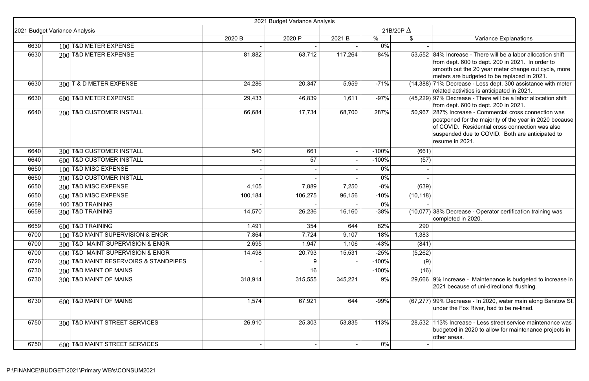184% Increase - There will be a labor allocation shift from dept. 600 to dept. 200 in 2021. In order to smooth out the 20 year meter change out cycle, more meters are budgeted to be replaced in 2021.

71% Decrease - Less dept. 300 assistance with meter related activities is anticipated in 2021.

97% Decrease - There will be a labor allocation shift from dept. 600 to dept. 200 in 2021.

287% Increase - Commercial cross connection was postponed for the majority of the year in 2020 because of COVID. Residential cross connection was also suspended due to COVID. Both are anticipated to resume in 2021.

38% Decrease - Operator certification training was completed in 2020.

9% Increase - Maintenance is budgeted to increase in 2021 because of uni-directional flushing.

99% Decrease - In 2020, water main along Barstow St, under the Fox River, had to be re-lined.

113% Increase - Less street service maintenance was budgeted in 2020 to allow for maintenance projects in other areas.

|                               |                                       |                          | 2021 Budget Variance Analysis |                          |                  |           |
|-------------------------------|---------------------------------------|--------------------------|-------------------------------|--------------------------|------------------|-----------|
| 2021 Budget Variance Analysis |                                       |                          |                               |                          | 21B/20P $\Delta$ |           |
|                               |                                       | 2020 B                   | 2020 P                        | 2021 B                   | $\frac{0}{0}$    | \$        |
| 6630                          | 100 T&D METER EXPENSE                 |                          |                               |                          | 0%               |           |
| 6630                          | 200 T&D METER EXPENSE                 | 81,882                   | 63,712                        | 117,264                  | 84%              | 53,552    |
| 6630                          | 300 T & D METER EXPENSE               | 24,286                   | 20,347                        | 5,959                    | $-71%$           | (14, 388) |
| 6630                          | 600 T&D METER EXPENSE                 | 29,433                   | 46,839                        | 1,611                    | $-97%$           | (45, 229) |
| 6640                          | 200 T&D CUSTOMER INSTALL              | 66,684                   | 17,734                        | 68,700                   | 287%             | 50,967    |
| 6640                          | 300 T&D CUSTOMER INSTALL              | 540                      | 661                           | $\overline{\phantom{a}}$ | $-100%$          | (661)     |
| 6640                          | 600 T&D CUSTOMER INSTALL              |                          | 57                            |                          | $-100%$          | (57)      |
| 6650                          | 100 T&D MISC EXPENSE                  | $\overline{\phantom{a}}$ |                               |                          | 0%               |           |
| 6650                          | 200 T&D CUSTOMER INSTALL              |                          |                               |                          | 0%               |           |
| 6650                          | 300 T&D MISC EXPENSE                  | 4,105                    | 7,889                         | 7,250                    | $-8%$            | (639)     |
| 6650                          | 600 T&D MISC EXPENSE                  | 100,184                  | 106,275                       | 96,156                   | $-10%$           | (10, 118) |
| 6659                          | 100 T&D TRAINING                      |                          |                               |                          | $0\%$            |           |
| 6659                          | 300 T&D TRAINING                      | 14,570                   | 26,236                        | 16,160                   | $-38%$           | (10, 077) |
| 6659                          | 600 T&D TRAINING                      | 1,491                    | 354                           | 644                      | 82%              | 290       |
| 6700                          | 100 T&D MAINT SUPERVISION & ENGR      | 7,864                    | 7,724                         | 9,107                    | 18%              | 1,383     |
| 6700                          | 300 T&D MAINT SUPERVISION & ENGR      | 2,695                    | 1,947                         | 1,106                    | $-43%$           | (841)     |
| 6700                          | 600 T&D MAINT SUPERVISION & ENGR      | 14,498                   | 20,793                        | 15,531                   | $-25%$           | (5,262)   |
| 6720                          | 300 T&D MAINT RESERVOIRS & STANDPIPES |                          | 9                             |                          | $-100%$          | (9)       |
| 6730                          | 200 T&D MAINT OF MAINS                |                          | 16                            |                          | $-100%$          | (16)      |
| 6730                          | 300 T&D MAINT OF MAINS                | 318,914                  | 315,555                       | 345,221                  | 9%               | 29,666    |
| 6730                          | 600 T&D MAINT OF MAINS                | 1,574                    | 67,921                        | 644                      | $-99%$           | (67, 277) |
| 6750                          | 300 T&D MAINT STREET SERVICES         | 26,910                   | 25,303                        | 53,835                   | 113%             | 28,532    |
| 6750                          | 600 T&D MAINT STREET SERVICES         |                          |                               | $\overline{\phantom{a}}$ | 0%               |           |

### **Variance Explanations**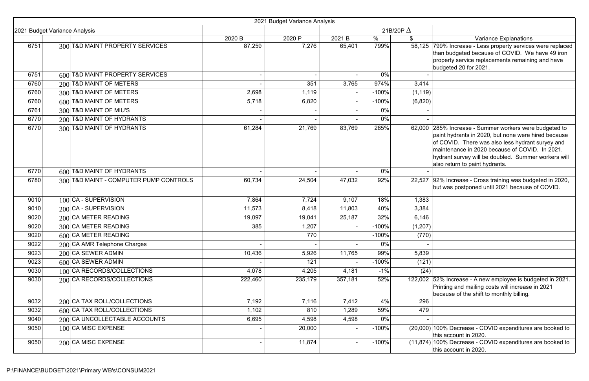799% Increase - Less property services were replaced than budgeted because of COVID. We have 49 iron property service replacements remaining and have budgeted 20 for 2021.

285% Increase - Summer workers were budgeted to paint hydrants in 2020, but none were hired because of COVID. There was also less hydrant suryey and maintenance in 2020 because of COVID. In 2021, hydrant survey will be doubled. Summer workers will also return to paint hydrants.

92% Increase - Cross training was budgeted in 2020, but was postponed until 2021 because of COVID.

52% Increase - A new employee is budgeted in 2021. Printing and mailing costs will increase in 2021 because of the shift to monthly billing.

100% Decrease - COVID expenditures are booked to this account in 2020.

|                               |  |                                        |         | 2021 Budget Variance Analysis |                  |               |          |                                                                                                                                                                                                                                     |
|-------------------------------|--|----------------------------------------|---------|-------------------------------|------------------|---------------|----------|-------------------------------------------------------------------------------------------------------------------------------------------------------------------------------------------------------------------------------------|
| 2021 Budget Variance Analysis |  |                                        |         |                               | 21B/20P $\Delta$ |               |          |                                                                                                                                                                                                                                     |
|                               |  |                                        | 2020 B  | 2020 P                        | 2021 B           | $\frac{9}{6}$ |          | <b>Variance Explanations</b>                                                                                                                                                                                                        |
| 6751                          |  | 300 T&D MAINT PROPERTY SERVICES        | 87,259  | 7,276                         | 65,401           | 799%          |          | 58,125 799% Increase - Less property service<br>than budgeted because of COVID. We<br>property service replacements remainin<br>budgeted 20 for 2021.                                                                               |
| 6751                          |  | 600 T&D MAINT PROPERTY SERVICES        |         |                               |                  | 0%            |          |                                                                                                                                                                                                                                     |
| 6760                          |  | 200 T&D MAINT OF METERS                |         | 351                           | 3,765            | 974%          | 3,414    |                                                                                                                                                                                                                                     |
| 6760                          |  | 300 T&D MAINT OF METERS                | 2,698   | 1,119                         |                  | $-100%$       | (1, 119) |                                                                                                                                                                                                                                     |
| 6760                          |  | 600 T&D MAINT OF METERS                | 5,718   | 6,820                         |                  | $-100%$       | (6,820)  |                                                                                                                                                                                                                                     |
| 6761                          |  | 300 T&D MAINT OF MIU'S                 |         |                               |                  | 0%            |          |                                                                                                                                                                                                                                     |
| 6770                          |  | 200 T&D MAINT OF HYDRANTS              |         |                               |                  | 0%            |          |                                                                                                                                                                                                                                     |
| 6770                          |  | 300 T&D MAINT OF HYDRANTS              | 61,284  | 21,769                        | 83,769           | 285%          | 62,000   | 285% Increase - Summer workers wer<br>paint hydrants in 2020, but none were<br>of COVID. There was also less hydrar<br>maintenance in 2020 because of COV<br>hydrant survey will be doubled. Summ<br>also return to paint hydrants. |
| 6770                          |  | 600 T&D MAINT OF HYDRANTS              |         |                               |                  | $0\%$         |          |                                                                                                                                                                                                                                     |
| 6780                          |  | 300 T&D MAINT - COMPUTER PUMP CONTROLS | 60,734  | 24,504                        | 47,032           | 92%           | 22,527   | 92% Increase - Cross training was bud<br>but was postponed until 2021 because                                                                                                                                                       |
| 9010                          |  | 100 CA - SUPERVISION                   | 7,864   | 7,724                         | 9,107            | 18%           | 1,383    |                                                                                                                                                                                                                                     |
| 9010                          |  | 200 CA - SUPERVISION                   | 11,573  | 8,418                         | 11,803           | 40%           | 3,384    |                                                                                                                                                                                                                                     |
| 9020                          |  | 200 CA METER READING                   | 19,097  | 19,041                        | 25,187           | 32%           | 6,146    |                                                                                                                                                                                                                                     |
| 9020                          |  | 300 CA METER READING                   | 385     | 1,207                         |                  | $-100%$       | (1,207)  |                                                                                                                                                                                                                                     |
| 9020                          |  | 600 CA METER READING                   |         | 770                           |                  | $-100\%$      | (770)    |                                                                                                                                                                                                                                     |
| 9022                          |  | 200 CA AMR Telephone Charges           |         |                               |                  | $0\%$         |          |                                                                                                                                                                                                                                     |
| 9023                          |  | 200 CA SEWER ADMIN                     | 10,436  | 5,926                         | 11,765           | 99%           | 5,839    |                                                                                                                                                                                                                                     |
| 9023                          |  | 600 CA SEWER ADMIN                     |         | 121                           |                  | $-100%$       | (121)    |                                                                                                                                                                                                                                     |
| 9030                          |  | 100 CA RECORDS/COLLECTIONS             | 4,078   | 4,205                         | 4,181            | $-1\%$        | (24)     |                                                                                                                                                                                                                                     |
| 9030                          |  | 200 CA RECORDS/COLLECTIONS             | 222,460 | 235,179                       | 357,181          | 52%           |          | 122,002 52% Increase - A new employee is bud<br>Printing and mailing costs will increase<br>because of the shift to monthly billing.                                                                                                |
| 9032                          |  | 200 CA TAX ROLL/COLLECTIONS            | 7,192   | 7,116                         | 7,412            | 4%            | 296      |                                                                                                                                                                                                                                     |
| 9032                          |  | 600 CA TAX ROLL/COLLECTIONS            | 1,102   | 810                           | 1,289            | 59%           | 479      |                                                                                                                                                                                                                                     |
| 9040                          |  | 200 CA UNCOLLECTABLE ACCOUNTS          | 6,695   | 4,598                         | 4,598            | $0\%$         |          |                                                                                                                                                                                                                                     |
| 9050                          |  | $100$ CA MISC EXPENSE                  |         | 20,000                        |                  | $-100%$       |          | (20,000) 100% Decrease - COVID expenditures<br>this account in 2020.                                                                                                                                                                |
| 9050                          |  | 200 CA MISC EXPENSE                    |         | 11,874                        |                  | $-100%$       |          | (11,874) 100% Decrease - COVID expenditures<br>this account in 2020.                                                                                                                                                                |

100% Decrease - COVID expenditures are booked to this account in 2020.

|  |  | Variance Explanations |
|--|--|-----------------------|
|--|--|-----------------------|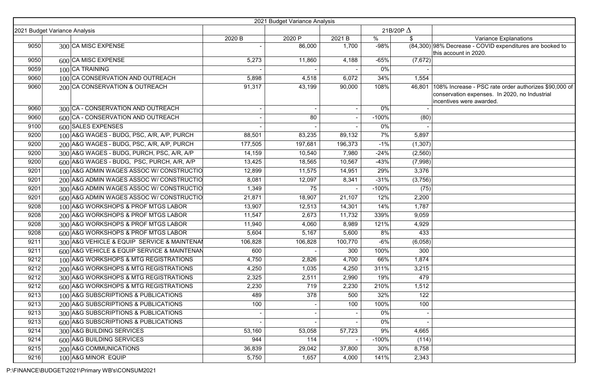| 108% Increase - PSC rate order authorizes \$90,000 of |
|-------------------------------------------------------|
| conservation expenses. In 2020, no Industrial         |
| incentives were awarded.                              |
|                                                       |

|      |                                             |         | 2021 Budget Variance Analysis |         |         |          |                                                                                                                                             |
|------|---------------------------------------------|---------|-------------------------------|---------|---------|----------|---------------------------------------------------------------------------------------------------------------------------------------------|
|      | 2021 Budget Variance Analysis               |         | 21B/20P $\Delta$              |         |         |          |                                                                                                                                             |
|      |                                             | 2020 B  | 2020 P                        | 2021 B  | $\%$    | \$       | <b>Variance Explanations</b>                                                                                                                |
| 9050 | 300 CA MISC EXPENSE                         |         | 86,000                        | 1,700   | $-98%$  |          | (84,300) 98% Decrease - COVID expenditures are booked to<br>this account in 2020.                                                           |
| 9050 | $600$ CA MISC EXPENSE                       | 5,273   | 11,860                        | 4,188   | $-65%$  | (7,672)  |                                                                                                                                             |
| 9059 | $100$ CA TRAINING                           |         |                               |         | $0\%$   |          |                                                                                                                                             |
| 9060 | 100 CA CONSERVATION AND OUTREACH            | 5,898   | 4,518                         | 6,072   | 34%     | 1,554    |                                                                                                                                             |
| 9060 | 200 CA CONSERVATION & OUTREACH              | 91,317  | 43,199                        | 90,000  | 108%    |          | 46,801   108% Increase - PSC rate order authorizes \$90,000 of<br>conservation expenses. In 2020, no Industrial<br>incentives were awarded. |
| 9060 | 300 CA - CONSERVATION AND OUTREACH          |         |                               |         | $0\%$   |          |                                                                                                                                             |
| 9060 | 600 CA - CONSERVATION AND OUTREACH          |         | 80                            |         | $-100%$ | (80)     |                                                                                                                                             |
| 9100 | $600$ SALES EXPENSES                        |         |                               |         | $0\%$   |          |                                                                                                                                             |
| 9200 | 100 A&G WAGES - BUDG, PSC, A/R, A/P, PURCH  | 88,501  | 83,235                        | 89,132  | 7%      | 5,897    |                                                                                                                                             |
| 9200 | 200 A&G WAGES - BUDG, PSC, A/R, A/P, PURCH  | 177,505 | 197,681                       | 196,373 | $-1%$   | (1, 307) |                                                                                                                                             |
| 9200 | 300 A&G WAGES - BUDG, PURCH, PSC, A/R, A/P  | 14,159  | 10,540                        | 7,980   | $-24%$  | (2,560)  |                                                                                                                                             |
| 9200 | 600 A&G WAGES - BUDG, PSC, PURCH, A/R, A/P  | 13,425  | 18,565                        | 10,567  | $-43%$  | (7,998)  |                                                                                                                                             |
| 9201 | 100 A&G ADMIN WAGES ASSOC W/ CONSTRUCTIO    | 12,899  | 11,575                        | 14,951  | 29%     | 3,376    |                                                                                                                                             |
| 9201 | 200 A&G ADMIN WAGES ASSOC W/ CONSTRUCTIO    | 8,081   | 12,097                        | 8,341   | $-31%$  | (3,756)  |                                                                                                                                             |
| 9201 | 300 A&G ADMIN WAGES ASSOC W/ CONSTRUCTIO    | 1,349   | 75                            |         | $-100%$ | (75)     |                                                                                                                                             |
| 9201 | 600 A&G ADMIN WAGES ASSOC W/ CONSTRUCTIO    | 21,871  | 18,907                        | 21,107  | 12%     | 2,200    |                                                                                                                                             |
| 9208 | 100 A&G WORKSHOPS & PROF MTGS LABOR         | 13,907  | 12,513                        | 14,301  | 14%     | 1,787    |                                                                                                                                             |
| 9208 | 200 A&G WORKSHOPS & PROF MTGS LABOR         | 11,547  | 2,673                         | 11,732  | 339%    | 9,059    |                                                                                                                                             |
| 9208 | 300 A&G WORKSHOPS & PROF MTGS LABOR         | 11,940  | 4,060                         | 8,989   | 121%    | 4,929    |                                                                                                                                             |
| 9208 | 600 A&G WORKSHOPS & PROF MTGS LABOR         | 5,604   | 5,167                         | 5,600   | 8%      | 433      |                                                                                                                                             |
| 9211 | 300 A&G VEHICLE & EQUIP SERVICE & MAINTENAI | 106,828 | 106,828                       | 100,770 | $-6%$   | (6,058)  |                                                                                                                                             |
| 9211 | 600 A&G VEHICLE & EQUIP SERVICE & MAINTENAN | 600     |                               | 300     | 100%    | 300      |                                                                                                                                             |
| 9212 | 100 A&G WORKSHOPS & MTG REGISTRATIONS       | 4,750   | 2,826                         | 4,700   | 66%     | 1,874    |                                                                                                                                             |
| 9212 | 200 A&G WORKSHOPS & MTG REGISTRATIONS       | 4,250   | 1,035                         | 4,250   | 311%    | 3,215    |                                                                                                                                             |
| 9212 | 300 A&G WORKSHOPS & MTG REGISTRATIONS       | 2,325   | 2,511                         | 2,990   | 19%     | 479      |                                                                                                                                             |
| 9212 | 600 A&G WORKSHOPS & MTG REGISTRATIONS       | 2,230   | 719                           | 2,230   | 210%    | 1,512    |                                                                                                                                             |
| 9213 | 100 A&G SUBSCRIPTIONS & PUBLICATIONS        | 489     | 378                           | 500     | 32%     | 122      |                                                                                                                                             |
| 9213 | 200 A&G SUBSCRIPTIONS & PUBLICATIONS        | 100     |                               | 100     | 100%    | 100      |                                                                                                                                             |
| 9213 | 300 A&G SUBSCRIPTIONS & PUBLICATIONS        |         |                               |         | $0\%$   |          |                                                                                                                                             |
| 9213 | 600 A&G SUBSCRIPTIONS & PUBLICATIONS        |         |                               |         | 0%      |          |                                                                                                                                             |
| 9214 | 300 A&G BUILDING SERVICES                   | 53,160  | 53,058                        | 57,723  | 9%      | 4,665    |                                                                                                                                             |
| 9214 | 600 A&G BUILDING SERVICES                   | 944     | 114                           |         | $-100%$ | (114)    |                                                                                                                                             |
| 9215 | 200 A&G COMMUNICATIONS                      | 36,839  | 29,042                        | 37,800  | 30%     | 8,758    |                                                                                                                                             |
| 9216 | 100 A&G MINOR EQUIP                         | 5,750   | 1,657                         | 4,000   | 141%    | 2,343    |                                                                                                                                             |

## Variance Explanations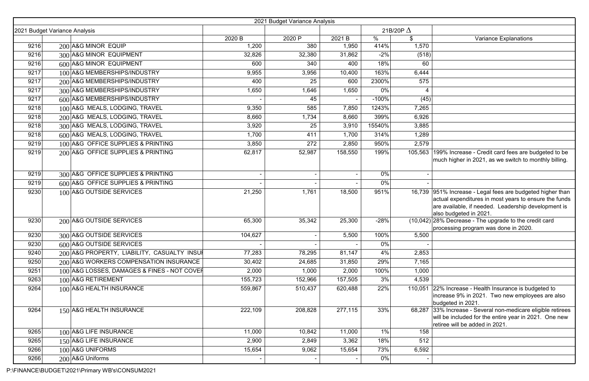|      |                                             |         | 2021 Budget Variance Analysis |         |                  |                |                                                                                                                                                                                                      |
|------|---------------------------------------------|---------|-------------------------------|---------|------------------|----------------|------------------------------------------------------------------------------------------------------------------------------------------------------------------------------------------------------|
|      | 2021 Budget Variance Analysis               |         |                               |         | 21B/20P $\Delta$ |                |                                                                                                                                                                                                      |
|      |                                             | 2020 B  | 2020 P                        | 2021 B  | %                | \$             | <b>Variance Explanations</b>                                                                                                                                                                         |
| 9216 | $200$ A&G MINOR EQUIP                       | 1,200   | 380                           | 1,950   | 414%             | 1,570          |                                                                                                                                                                                                      |
| 9216 | 300 A&G MINOR EQUIPMENT                     | 32,826  | 32,380                        | 31,862  | $-2%$            | (518)          |                                                                                                                                                                                                      |
| 9216 | 600 A&G MINOR EQUIPMENT                     | 600     | 340                           | 400     | 18%              | 60             |                                                                                                                                                                                                      |
| 9217 | 100 A&G MEMBERSHIPS/INDUSTRY                | 9,955   | 3,956                         | 10,400  | 163%             | 6,444          |                                                                                                                                                                                                      |
| 9217 | 200 A&G MEMBERSHIPS/INDUSTRY                | 400     | 25                            | 600     | 2300%            | 575            |                                                                                                                                                                                                      |
| 9217 | 300 A&G MEMBERSHIPS/INDUSTRY                | 1,650   | 1,646                         | 1,650   | $0\%$            | $\overline{4}$ |                                                                                                                                                                                                      |
| 9217 | 600 A&G MEMBERSHIPS/INDUSTRY                |         | 45                            |         | $-100%$          | (45)           |                                                                                                                                                                                                      |
| 9218 | 100 A&G MEALS, LODGING, TRAVEL              | 9,350   | 585                           | 7,850   | 1243%            | 7,265          |                                                                                                                                                                                                      |
| 9218 | 200 A&G MEALS, LODGING, TRAVEL              | 8,660   | 1,734                         | 8,660   | 399%             | 6,926          |                                                                                                                                                                                                      |
| 9218 | 300 A&G MEALS, LODGING, TRAVEL              | 3,920   | 25                            | 3,910   | 15540%           | 3,885          |                                                                                                                                                                                                      |
| 9218 | 600 A&G MEALS, LODGING, TRAVEL              | 1,700   | 411                           | 1,700   | 314%             | 1,289          |                                                                                                                                                                                                      |
| 9219 | 100 A&G OFFICE SUPPLIES & PRINTING          | 3,850   | 272                           | 2,850   | 950%             | 2,579          |                                                                                                                                                                                                      |
| 9219 | 200 A&G OFFICE SUPPLIES & PRINTING          | 62,817  | 52,987                        | 158,550 | 199%             |                | 105,563 199% Increase - Credit card fees are budgeted to be<br>much higher in 2021, as we switch to monthly billing.                                                                                 |
| 9219 | 300 A&G OFFICE SUPPLIES & PRINTING          |         | $\overline{\phantom{a}}$      |         | $0\%$            |                |                                                                                                                                                                                                      |
| 9219 | 600 A&G OFFICE SUPPLIES & PRINTING          |         |                               |         | $0\%$            |                |                                                                                                                                                                                                      |
| 9230 | 100 A&G OUTSIDE SERVICES                    | 21,250  | 1,761                         | 18,500  | 951%             |                | 16,739 951% Increase - Legal fees are budgeted higher than<br>actual expenditures in most years to ensure the funds<br>are available, if needed. Leadership development is<br>also budgeted in 2021. |
| 9230 | 200 A&G OUTSIDE SERVICES                    | 65,300  | 35,342                        | 25,300  | $-28%$           |                | $(10,042)$ 28% Decrease - The upgrade to the credit card<br>processing program was done in 2020.                                                                                                     |
| 9230 | 300 A&G OUTSIDE SERVICES                    | 104,627 | $\overline{\phantom{a}}$      | 5,500   | 100%             | 5,500          |                                                                                                                                                                                                      |
| 9230 | 600 A&G OUTSIDE SERVICES                    |         |                               |         | $0\%$            |                |                                                                                                                                                                                                      |
| 9240 | 200 A&G PROPERTY, LIABILITY, CASUALTY INSUF | 77,283  | 78,295                        | 81,147  | 4%               | 2,853          |                                                                                                                                                                                                      |
| 9250 | 200 A&G WORKERS COMPENSATION INSURANCE      | 30,402  | 24,685                        | 31,850  | 29%              | 7,165          |                                                                                                                                                                                                      |
| 9251 | 100 A&G LOSSES, DAMAGES & FINES - NOT COVER | 2,000   | 1,000                         | 2,000   | 100%             | 1,000          |                                                                                                                                                                                                      |
| 9263 | 100 A&G RETIREMENT                          | 155,723 | 152,966                       | 157,505 | 3%               | 4,539          |                                                                                                                                                                                                      |
| 9264 | 100 A&G HEALTH INSURANCE                    | 559,867 | 510,437                       | 620,488 | 22%              |                | 110,051 22% Increase - Health Insurance is budgeted to<br>increase 9% in 2021. Two new employees are also<br>budgeted in 2021.                                                                       |
| 9264 | 150 A&G HEALTH INSURANCE                    | 222,109 | 208,828                       | 277,115 | 33%              |                | 68,287 33% Increase - Several non-medicare eligible retirees<br>will be included for the entire year in 2021. One new<br>retiree will be added in 2021.                                              |
| 9265 | 100 A&G LIFE INSURANCE                      | 11,000  | 10,842                        | 11,000  | $1\%$            | 158            |                                                                                                                                                                                                      |
| 9265 | 150 A&G LIFE INSURANCE                      | 2,900   | 2,849                         | 3,362   | 18%              | 512            |                                                                                                                                                                                                      |
| 9266 | 100 A&G UNIFORMS                            | 15,654  | 9,062                         | 15,654  | 73%              | 6,592          |                                                                                                                                                                                                      |
| 9266 | $200$ A&G Uniforms                          |         |                               |         | $0\%$            |                |                                                                                                                                                                                                      |

| <b>Variance Explanations</b>                                                                                                                                                                                                                                                           |
|----------------------------------------------------------------------------------------------------------------------------------------------------------------------------------------------------------------------------------------------------------------------------------------|
|                                                                                                                                                                                                                                                                                        |
|                                                                                                                                                                                                                                                                                        |
|                                                                                                                                                                                                                                                                                        |
|                                                                                                                                                                                                                                                                                        |
|                                                                                                                                                                                                                                                                                        |
| 199% Increase - Credit card fees are budgeted to be<br>much higher in 2021, as we switch to monthly billing.                                                                                                                                                                           |
| 951% Increase - Legal fees are budgeted higher than<br>actual expenditures in most years to ensure the funds<br>are available, if needed. Leadership development is<br>also budgeted in 2021.<br>28% Decrease - The upgrade to the credit card<br>processing program was done in 2020. |
|                                                                                                                                                                                                                                                                                        |
|                                                                                                                                                                                                                                                                                        |
| 22% Increase - Health Insurance is budgeted to<br>increase 9% in 2021. Two new employees are also<br>budgeted in 2021.<br>33% Increase - Several non-medicare eligible retirees<br>will be included for the entire year in 2021. One new<br>retiree will be added in 2021.             |
|                                                                                                                                                                                                                                                                                        |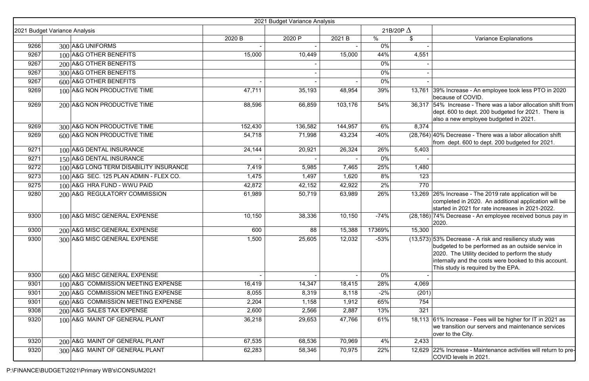39% Increase - An employee took less PTO in 2020 because of COVID.

54% Increase - There was a labor allocation shift from dept. 600 to dept. 200 budgeted for 2021. There is also a new employee budgeted in 2021.

40% Decrease - There was a labor allocation shift from dept. 600 to dept. 200 budgeted for 2021.

26% Increase - The 2019 rate application will be completed in 2020. An additional application will be started in 2021 for rate increases in 2021-2022. 74% Decrease - An employee received bonus pay in 2020.

53% Decrease - A risk and resiliency study was budgeted to be performed as an outside service in 2020. The Utility decided to perform the study internally and the costs were booked to this account. This study is required by the EPA.

61% Increase - Fees will be higher for IT in 2021 as we transition our servers and maintenance services over to the City.

|      |                                        |         | 2021 Budget Variance Analysis |         |        |                  |                                                                                                                                                                                                                      |
|------|----------------------------------------|---------|-------------------------------|---------|--------|------------------|----------------------------------------------------------------------------------------------------------------------------------------------------------------------------------------------------------------------|
|      | 2021 Budget Variance Analysis          |         |                               |         |        | 21B/20P $\Delta$ |                                                                                                                                                                                                                      |
|      |                                        | 2020 B  | 2020 P                        | 2021 B  | %      | \$               | <b>Variance Explanations</b>                                                                                                                                                                                         |
| 9266 | 300 A&G UNIFORMS                       |         |                               |         | $0\%$  |                  |                                                                                                                                                                                                                      |
| 9267 | 100 A&G OTHER BENEFITS                 | 15,000  | 10,449                        | 15,000  | 44%    | 4,551            |                                                                                                                                                                                                                      |
| 9267 | 200 A&G OTHER BENEFITS                 |         |                               |         | $0\%$  |                  |                                                                                                                                                                                                                      |
| 9267 | 300 A&G OTHER BENEFITS                 |         |                               |         | $0\%$  |                  |                                                                                                                                                                                                                      |
| 9267 | 600 A&G OTHER BENEFITS                 |         |                               |         | $0\%$  |                  |                                                                                                                                                                                                                      |
| 9269 | 100 A&G NON PRODUCTIVE TIME            | 47,711  | 35,193                        | 48,954  | 39%    |                  | 13,761 39% Increase - An employee took less<br>because of COVID.                                                                                                                                                     |
| 9269 | 200 A&G NON PRODUCTIVE TIME            | 88,596  | 66,859                        | 103,176 | 54%    |                  | 36,317 54% Increase - There was a labor allo<br>dept. 600 to dept. 200 budgeted for 20<br>also a new employee budgeted in 2021                                                                                       |
| 9269 | 300 A&G NON PRODUCTIVE TIME            | 152,430 | 136,582                       | 144,957 | 6%     | 8,374            |                                                                                                                                                                                                                      |
| 9269 | $600$ A&G NON PRODUCTIVE TIME          | 54,718  | 71,998                        | 43,234  | $-40%$ |                  | $(28, 764)$ 40% Decrease - There was a labor allo<br>from dept. 600 to dept. 200 budgeted                                                                                                                            |
| 9271 | 100 A&G DENTAL INSURANCE               | 24,144  | 20,921                        | 26,324  | 26%    | 5,403            |                                                                                                                                                                                                                      |
| 9271 | 150 A&G DENTAL INSURANCE               |         |                               |         | $0\%$  |                  |                                                                                                                                                                                                                      |
| 9272 | 100 A&G LONG TERM DISABILITY INSURANCE | 7,419   | 5,985                         | 7,465   | 25%    | 1,480            |                                                                                                                                                                                                                      |
| 9273 | 100 A&G SEC. 125 PLAN ADMIN - FLEX CO. | 1,475   | 1,497                         | 1,620   | 8%     | 123              |                                                                                                                                                                                                                      |
| 9275 | $100$ A&G HRA FUND - WWU PAID          | 42,872  | 42,152                        | 42,922  | 2%     | 770              |                                                                                                                                                                                                                      |
| 9280 | 200 A&G REGULATORY COMMISSION          | 61,989  | 50,719                        | 63,989  | 26%    |                  | 13,269 26% Increase - The 2019 rate applicati<br>completed in 2020. An additional appli<br>started in 2021 for rate increases in 20                                                                                  |
| 9300 | 100 A&G MISC GENERAL EXPENSE           | 10,150  | 38,336                        | 10,150  | $-74%$ |                  | (28,186) 74% Decrease - An employee received<br>2020.                                                                                                                                                                |
| 9300 | 200 A&G MISC GENERAL EXPENSE           | 600     | 88                            | 15,388  | 17369% | 15,300           |                                                                                                                                                                                                                      |
| 9300 | 300 A&G MISC GENERAL EXPENSE           | 1,500   | 25,605                        | 12,032  | $-53%$ |                  | (13,573) 53% Decrease - A risk and resiliency s<br>budgeted to be performed as an outsid<br>2020. The Utility decided to perform th<br>internally and the costs were booked to<br>This study is required by the EPA. |
| 9300 | 600 A&G MISC GENERAL EXPENSE           |         |                               |         | 0%     |                  |                                                                                                                                                                                                                      |
| 9301 | 100 A&G COMMISSION MEETING EXPENSE     | 16,419  | 14,347                        | 18,415  | 28%    | 4,069            |                                                                                                                                                                                                                      |
| 9301 | 200 A&G COMMISSION MEETING EXPENSE     | 8,055   | 8,319                         | 8,118   | $-2%$  | (201)            |                                                                                                                                                                                                                      |
| 9301 | 600 A&G COMMISSION MEETING EXPENSE     | 2,204   | 1,158                         | 1,912   | 65%    | 754              |                                                                                                                                                                                                                      |
| 9308 | 200 A&G SALES TAX EXPENSE              | 2,600   | 2,566                         | 2,887   | 13%    | 321              |                                                                                                                                                                                                                      |
| 9320 | 100 A&G MAINT OF GENERAL PLANT         | 36,218  | 29,653                        | 47,766  | 61%    |                  | 18,113 61% Increase - Fees will be higher for<br>we transition our servers and maintena<br>over to the City.                                                                                                         |
| 9320 | 200 A&G MAINT OF GENERAL PLANT         | 67,535  | 68,536                        | 70,969  | 4%     | 2,433            |                                                                                                                                                                                                                      |
| 9320 | 300 A&G MAINT OF GENERAL PLANT         | 62,283  | 58,346                        | 70,975  | 22%    |                  | 12,629 22% Increase - Maintenance activities<br>COVID levels in 2021.                                                                                                                                                |

22% Increase - Maintenance activities will return to pre-COVID levels in 2021.

| Variance Explanations |
|-----------------------|
|-----------------------|